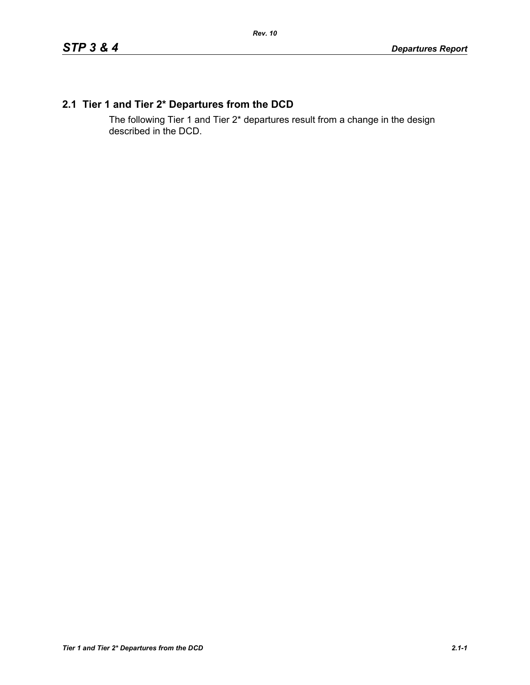## **2.1 Tier 1 and Tier 2\* Departures from the DCD**

The following Tier 1 and Tier 2\* departures result from a change in the design described in the DCD.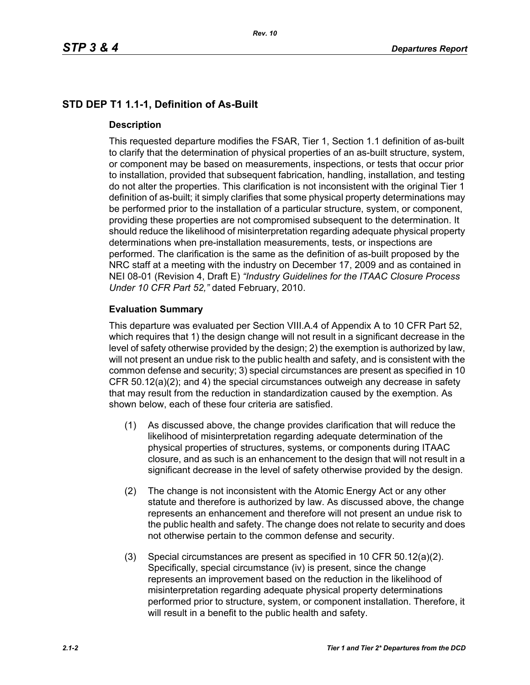# **STD DEP T1 1.1-1, Definition of As-Built**

## **Description**

This requested departure modifies the FSAR, Tier 1, Section 1.1 definition of as-built to clarify that the determination of physical properties of an as-built structure, system, or component may be based on measurements, inspections, or tests that occur prior to installation, provided that subsequent fabrication, handling, installation, and testing do not alter the properties. This clarification is not inconsistent with the original Tier 1 definition of as-built; it simply clarifies that some physical property determinations may be performed prior to the installation of a particular structure, system, or component, providing these properties are not compromised subsequent to the determination. It should reduce the likelihood of misinterpretation regarding adequate physical property determinations when pre-installation measurements, tests, or inspections are performed. The clarification is the same as the definition of as-built proposed by the NRC staff at a meeting with the industry on December 17, 2009 and as contained in NEI 08-01 (Revision 4, Draft E) *"Industry Guidelines for the ITAAC Closure Process Under 10 CFR Part 52,"* dated February, 2010.

## **Evaluation Summary**

This departure was evaluated per Section VIII.A.4 of Appendix A to 10 CFR Part 52, which requires that 1) the design change will not result in a significant decrease in the level of safety otherwise provided by the design; 2) the exemption is authorized by law, will not present an undue risk to the public health and safety, and is consistent with the common defense and security; 3) special circumstances are present as specified in 10 CFR 50.12(a)(2); and 4) the special circumstances outweigh any decrease in safety that may result from the reduction in standardization caused by the exemption. As shown below, each of these four criteria are satisfied.

- (1) As discussed above, the change provides clarification that will reduce the likelihood of misinterpretation regarding adequate determination of the physical properties of structures, systems, or components during ITAAC closure, and as such is an enhancement to the design that will not result in a significant decrease in the level of safety otherwise provided by the design.
- (2) The change is not inconsistent with the Atomic Energy Act or any other statute and therefore is authorized by law. As discussed above, the change represents an enhancement and therefore will not present an undue risk to the public health and safety. The change does not relate to security and does not otherwise pertain to the common defense and security.
- (3) Special circumstances are present as specified in 10 CFR 50.12(a)(2). Specifically, special circumstance (iv) is present, since the change represents an improvement based on the reduction in the likelihood of misinterpretation regarding adequate physical property determinations performed prior to structure, system, or component installation. Therefore, it will result in a benefit to the public health and safety.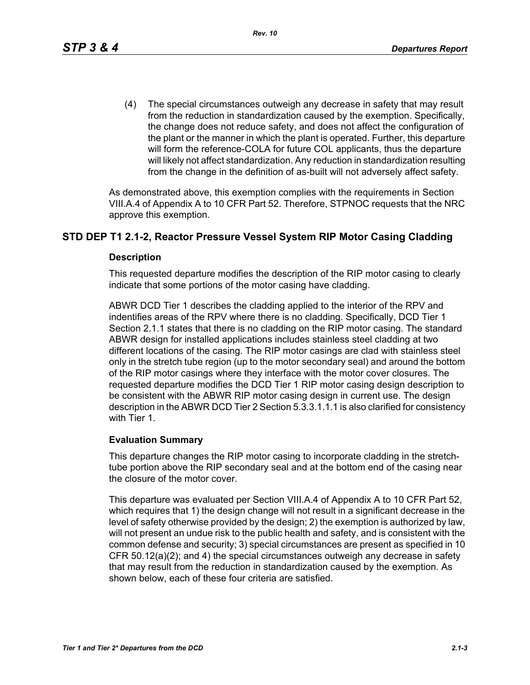(4) The special circumstances outweigh any decrease in safety that may result from the reduction in standardization caused by the exemption. Specifically, the change does not reduce safety, and does not affect the configuration of the plant or the manner in which the plant is operated. Further, this departure will form the reference-COLA for future COL applicants, thus the departure will likely not affect standardization. Any reduction in standardization resulting from the change in the definition of as-built will not adversely affect safety.

As demonstrated above, this exemption complies with the requirements in Section VIII.A.4 of Appendix A to 10 CFR Part 52. Therefore, STPNOC requests that the NRC approve this exemption.

## **STD DEP T1 2.1-2, Reactor Pressure Vessel System RIP Motor Casing Cladding**

#### **Description**

This requested departure modifies the description of the RIP motor casing to clearly indicate that some portions of the motor casing have cladding.

ABWR DCD Tier 1 describes the cladding applied to the interior of the RPV and indentifies areas of the RPV where there is no cladding. Specifically, DCD Tier 1 Section 2.1.1 states that there is no cladding on the RIP motor casing. The standard ABWR design for installed applications includes stainless steel cladding at two different locations of the casing. The RIP motor casings are clad with stainless steel only in the stretch tube region (up to the motor secondary seal) and around the bottom of the RIP motor casings where they interface with the motor cover closures. The requested departure modifies the DCD Tier 1 RIP motor casing design description to be consistent with the ABWR RIP motor casing design in current use. The design description in the ABWR DCD Tier 2 Section 5.3.3.1.1.1 is also clarified for consistency with Tier 1.

## **Evaluation Summary**

This departure changes the RIP motor casing to incorporate cladding in the stretchtube portion above the RIP secondary seal and at the bottom end of the casing near the closure of the motor cover.

This departure was evaluated per Section VIII.A.4 of Appendix A to 10 CFR Part 52, which requires that 1) the design change will not result in a significant decrease in the level of safety otherwise provided by the design; 2) the exemption is authorized by law, will not present an undue risk to the public health and safety, and is consistent with the common defense and security; 3) special circumstances are present as specified in 10 CFR 50.12(a)(2); and 4) the special circumstances outweigh any decrease in safety that may result from the reduction in standardization caused by the exemption. As shown below, each of these four criteria are satisfied.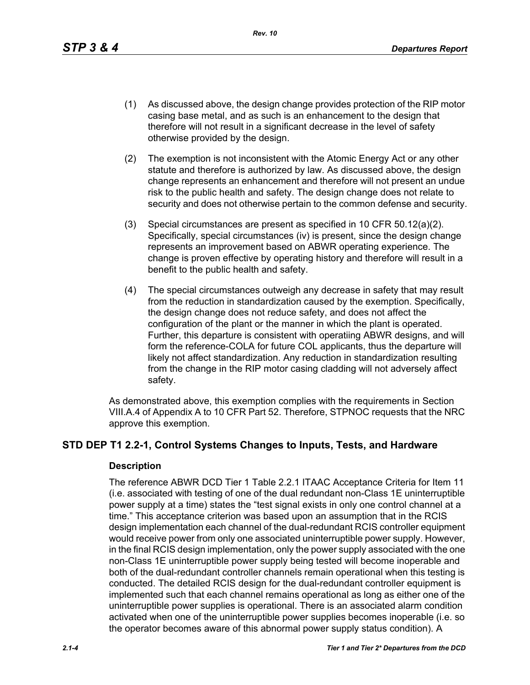*Rev. 10*

- (1) As discussed above, the design change provides protection of the RIP motor casing base metal, and as such is an enhancement to the design that therefore will not result in a significant decrease in the level of safety otherwise provided by the design.
- (2) The exemption is not inconsistent with the Atomic Energy Act or any other statute and therefore is authorized by law. As discussed above, the design change represents an enhancement and therefore will not present an undue risk to the public health and safety. The design change does not relate to security and does not otherwise pertain to the common defense and security.
- (3) Special circumstances are present as specified in 10 CFR 50.12(a)(2). Specifically, special circumstances (iv) is present, since the design change represents an improvement based on ABWR operating experience. The change is proven effective by operating history and therefore will result in a benefit to the public health and safety.
- (4) The special circumstances outweigh any decrease in safety that may result from the reduction in standardization caused by the exemption. Specifically, the design change does not reduce safety, and does not affect the configuration of the plant or the manner in which the plant is operated. Further, this departure is consistent with operatiing ABWR designs, and will form the reference-COLA for future COL applicants, thus the departure will likely not affect standardization. Any reduction in standardization resulting from the change in the RIP motor casing cladding will not adversely affect safety.

As demonstrated above, this exemption complies with the requirements in Section VIII.A.4 of Appendix A to 10 CFR Part 52. Therefore, STPNOC requests that the NRC approve this exemption.

## **STD DEP T1 2.2-1, Control Systems Changes to Inputs, Tests, and Hardware**

#### **Description**

The reference ABWR DCD Tier 1 Table 2.2.1 ITAAC Acceptance Criteria for Item 11 (i.e. associated with testing of one of the dual redundant non-Class 1E uninterruptible power supply at a time) states the "test signal exists in only one control channel at a time." This acceptance criterion was based upon an assumption that in the RCIS design implementation each channel of the dual-redundant RCIS controller equipment would receive power from only one associated uninterruptible power supply. However, in the final RCIS design implementation, only the power supply associated with the one non-Class 1E uninterruptible power supply being tested will become inoperable and both of the dual-redundant controller channels remain operational when this testing is conducted. The detailed RCIS design for the dual-redundant controller equipment is implemented such that each channel remains operational as long as either one of the uninterruptible power supplies is operational. There is an associated alarm condition activated when one of the uninterruptible power supplies becomes inoperable (i.e. so the operator becomes aware of this abnormal power supply status condition). A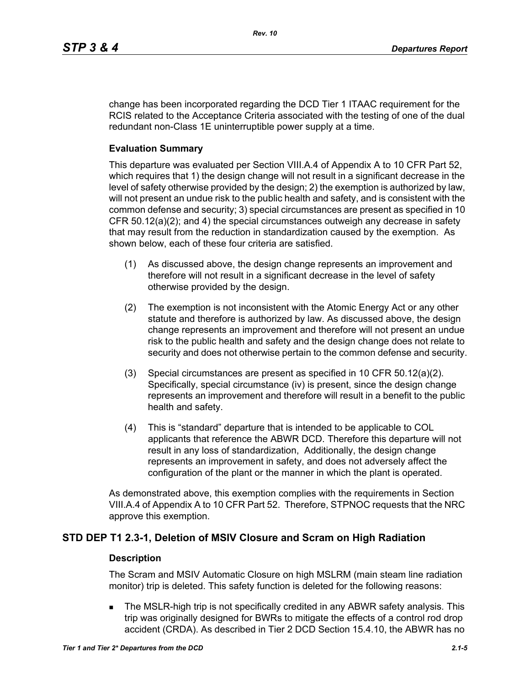change has been incorporated regarding the DCD Tier 1 ITAAC requirement for the RCIS related to the Acceptance Criteria associated with the testing of one of the dual redundant non-Class 1E uninterruptible power supply at a time.

#### **Evaluation Summary**

This departure was evaluated per Section VIII.A.4 of Appendix A to 10 CFR Part 52, which requires that 1) the design change will not result in a significant decrease in the level of safety otherwise provided by the design; 2) the exemption is authorized by law, will not present an undue risk to the public health and safety, and is consistent with the common defense and security; 3) special circumstances are present as specified in 10 CFR 50.12(a)(2); and 4) the special circumstances outweigh any decrease in safety that may result from the reduction in standardization caused by the exemption. As shown below, each of these four criteria are satisfied.

- (1) As discussed above, the design change represents an improvement and therefore will not result in a significant decrease in the level of safety otherwise provided by the design.
- (2) The exemption is not inconsistent with the Atomic Energy Act or any other statute and therefore is authorized by law. As discussed above, the design change represents an improvement and therefore will not present an undue risk to the public health and safety and the design change does not relate to security and does not otherwise pertain to the common defense and security.
- (3) Special circumstances are present as specified in 10 CFR 50.12(a)(2). Specifically, special circumstance (iv) is present, since the design change represents an improvement and therefore will result in a benefit to the public health and safety.
- (4) This is "standard" departure that is intended to be applicable to COL applicants that reference the ABWR DCD. Therefore this departure will not result in any loss of standardization, Additionally, the design change represents an improvement in safety, and does not adversely affect the configuration of the plant or the manner in which the plant is operated.

As demonstrated above, this exemption complies with the requirements in Section VIII.A.4 of Appendix A to 10 CFR Part 52. Therefore, STPNOC requests that the NRC approve this exemption.

## **STD DEP T1 2.3-1, Deletion of MSIV Closure and Scram on High Radiation**

#### **Description**

The Scram and MSIV Automatic Closure on high MSLRM (main steam line radiation monitor) trip is deleted. This safety function is deleted for the following reasons:

 The MSLR-high trip is not specifically credited in any ABWR safety analysis. This trip was originally designed for BWRs to mitigate the effects of a control rod drop accident (CRDA). As described in Tier 2 DCD Section 15.4.10, the ABWR has no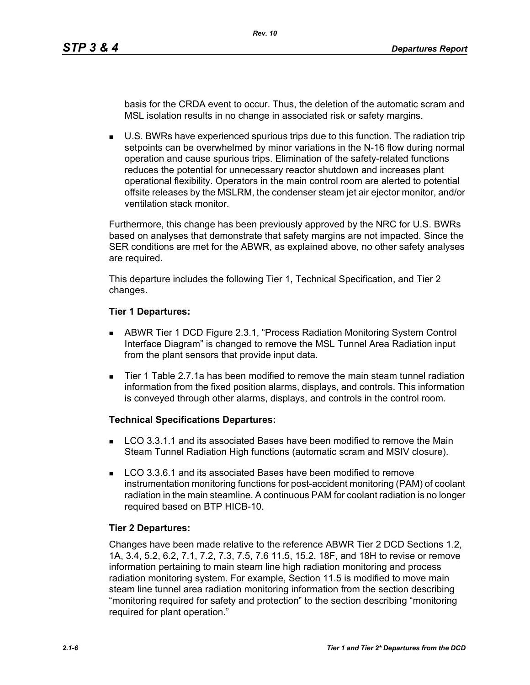basis for the CRDA event to occur. Thus, the deletion of the automatic scram and MSL isolation results in no change in associated risk or safety margins.

 U.S. BWRs have experienced spurious trips due to this function. The radiation trip setpoints can be overwhelmed by minor variations in the N-16 flow during normal operation and cause spurious trips. Elimination of the safety-related functions reduces the potential for unnecessary reactor shutdown and increases plant operational flexibility. Operators in the main control room are alerted to potential offsite releases by the MSLRM, the condenser steam jet air ejector monitor, and/or ventilation stack monitor.

Furthermore, this change has been previously approved by the NRC for U.S. BWRs based on analyses that demonstrate that safety margins are not impacted. Since the SER conditions are met for the ABWR, as explained above, no other safety analyses are required.

This departure includes the following Tier 1, Technical Specification, and Tier 2 changes.

#### **Tier 1 Departures:**

- ABWR Tier 1 DCD Figure 2.3.1, "Process Radiation Monitoring System Control Interface Diagram" is changed to remove the MSL Tunnel Area Radiation input from the plant sensors that provide input data.
- Tier 1 Table 2.7.1a has been modified to remove the main steam tunnel radiation information from the fixed position alarms, displays, and controls. This information is conveyed through other alarms, displays, and controls in the control room.

## **Technical Specifications Departures:**

- **LCO 3.3.1.1 and its associated Bases have been modified to remove the Main** Steam Tunnel Radiation High functions (automatic scram and MSIV closure).
- **LCO 3.3.6.1 and its associated Bases have been modified to remove** instrumentation monitoring functions for post-accident monitoring (PAM) of coolant radiation in the main steamline. A continuous PAM for coolant radiation is no longer required based on BTP HICB-10.

## **Tier 2 Departures:**

Changes have been made relative to the reference ABWR Tier 2 DCD Sections 1.2, 1A, 3.4, 5.2, 6.2, 7.1, 7.2, 7.3, 7.5, 7.6 11.5, 15.2, 18F, and 18H to revise or remove information pertaining to main steam line high radiation monitoring and process radiation monitoring system. For example, Section 11.5 is modified to move main steam line tunnel area radiation monitoring information from the section describing "monitoring required for safety and protection" to the section describing "monitoring required for plant operation."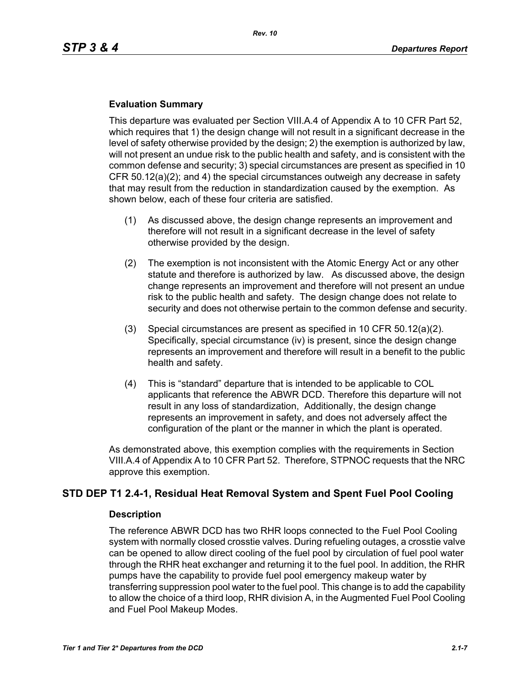### **Evaluation Summary**

This departure was evaluated per Section VIII.A.4 of Appendix A to 10 CFR Part 52, which requires that 1) the design change will not result in a significant decrease in the level of safety otherwise provided by the design; 2) the exemption is authorized by law, will not present an undue risk to the public health and safety, and is consistent with the common defense and security; 3) special circumstances are present as specified in 10 CFR 50.12(a)(2); and 4) the special circumstances outweigh any decrease in safety that may result from the reduction in standardization caused by the exemption. As shown below, each of these four criteria are satisfied.

- (1) As discussed above, the design change represents an improvement and therefore will not result in a significant decrease in the level of safety otherwise provided by the design.
- (2) The exemption is not inconsistent with the Atomic Energy Act or any other statute and therefore is authorized by law. As discussed above, the design change represents an improvement and therefore will not present an undue risk to the public health and safety. The design change does not relate to security and does not otherwise pertain to the common defense and security.
- (3) Special circumstances are present as specified in 10 CFR 50.12(a)(2). Specifically, special circumstance (iv) is present, since the design change represents an improvement and therefore will result in a benefit to the public health and safety.
- (4) This is "standard" departure that is intended to be applicable to COL applicants that reference the ABWR DCD. Therefore this departure will not result in any loss of standardization, Additionally, the design change represents an improvement in safety, and does not adversely affect the configuration of the plant or the manner in which the plant is operated.

As demonstrated above, this exemption complies with the requirements in Section VIII.A.4 of Appendix A to 10 CFR Part 52. Therefore, STPNOC requests that the NRC approve this exemption.

## **STD DEP T1 2.4-1, Residual Heat Removal System and Spent Fuel Pool Cooling**

#### **Description**

The reference ABWR DCD has two RHR loops connected to the Fuel Pool Cooling system with normally closed crosstie valves. During refueling outages, a crosstie valve can be opened to allow direct cooling of the fuel pool by circulation of fuel pool water through the RHR heat exchanger and returning it to the fuel pool. In addition, the RHR pumps have the capability to provide fuel pool emergency makeup water by transferring suppression pool water to the fuel pool. This change is to add the capability to allow the choice of a third loop, RHR division A, in the Augmented Fuel Pool Cooling and Fuel Pool Makeup Modes.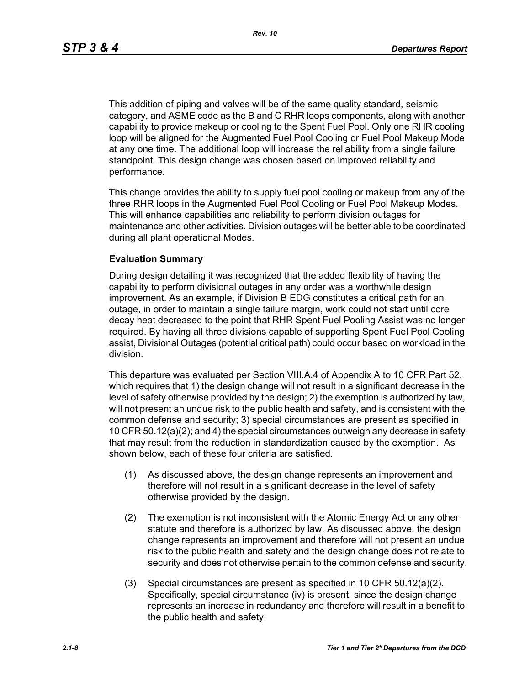This addition of piping and valves will be of the same quality standard, seismic category, and ASME code as the B and C RHR loops components, along with another capability to provide makeup or cooling to the Spent Fuel Pool. Only one RHR cooling loop will be aligned for the Augmented Fuel Pool Cooling or Fuel Pool Makeup Mode at any one time. The additional loop will increase the reliability from a single failure standpoint. This design change was chosen based on improved reliability and performance.

This change provides the ability to supply fuel pool cooling or makeup from any of the three RHR loops in the Augmented Fuel Pool Cooling or Fuel Pool Makeup Modes. This will enhance capabilities and reliability to perform division outages for maintenance and other activities. Division outages will be better able to be coordinated during all plant operational Modes.

#### **Evaluation Summary**

During design detailing it was recognized that the added flexibility of having the capability to perform divisional outages in any order was a worthwhile design improvement. As an example, if Division B EDG constitutes a critical path for an outage, in order to maintain a single failure margin, work could not start until core decay heat decreased to the point that RHR Spent Fuel Pooling Assist was no longer required. By having all three divisions capable of supporting Spent Fuel Pool Cooling assist, Divisional Outages (potential critical path) could occur based on workload in the division.

This departure was evaluated per Section VIII.A.4 of Appendix A to 10 CFR Part 52, which requires that 1) the design change will not result in a significant decrease in the level of safety otherwise provided by the design; 2) the exemption is authorized by law, will not present an undue risk to the public health and safety, and is consistent with the common defense and security; 3) special circumstances are present as specified in 10 CFR 50.12(a)(2); and 4) the special circumstances outweigh any decrease in safety that may result from the reduction in standardization caused by the exemption. As shown below, each of these four criteria are satisfied.

- (1) As discussed above, the design change represents an improvement and therefore will not result in a significant decrease in the level of safety otherwise provided by the design.
- (2) The exemption is not inconsistent with the Atomic Energy Act or any other statute and therefore is authorized by law. As discussed above, the design change represents an improvement and therefore will not present an undue risk to the public health and safety and the design change does not relate to security and does not otherwise pertain to the common defense and security.
- (3) Special circumstances are present as specified in 10 CFR 50.12(a)(2). Specifically, special circumstance (iv) is present, since the design change represents an increase in redundancy and therefore will result in a benefit to the public health and safety.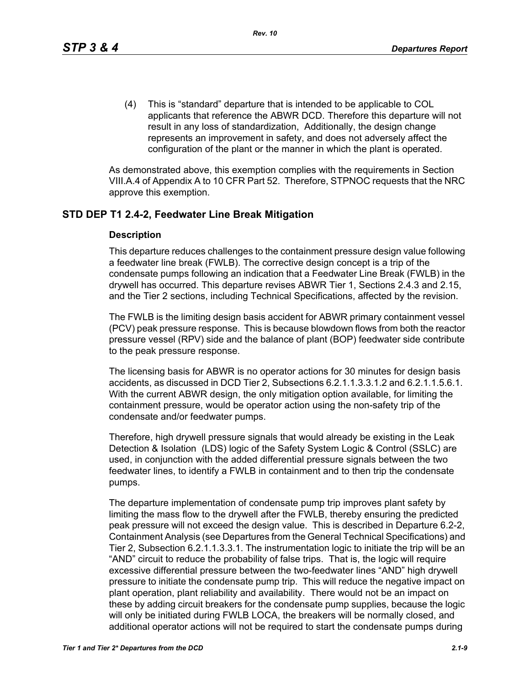(4) This is "standard" departure that is intended to be applicable to COL applicants that reference the ABWR DCD. Therefore this departure will not result in any loss of standardization, Additionally, the design change represents an improvement in safety, and does not adversely affect the configuration of the plant or the manner in which the plant is operated.

As demonstrated above, this exemption complies with the requirements in Section VIII.A.4 of Appendix A to 10 CFR Part 52. Therefore, STPNOC requests that the NRC approve this exemption.

## **STD DEP T1 2.4-2, Feedwater Line Break Mitigation**

#### **Description**

This departure reduces challenges to the containment pressure design value following a feedwater line break (FWLB). The corrective design concept is a trip of the condensate pumps following an indication that a Feedwater Line Break (FWLB) in the drywell has occurred. This departure revises ABWR Tier 1, Sections 2.4.3 and 2.15, and the Tier 2 sections, including Technical Specifications, affected by the revision.

The FWLB is the limiting design basis accident for ABWR primary containment vessel (PCV) peak pressure response. This is because blowdown flows from both the reactor pressure vessel (RPV) side and the balance of plant (BOP) feedwater side contribute to the peak pressure response.

The licensing basis for ABWR is no operator actions for 30 minutes for design basis accidents, as discussed in DCD Tier 2, Subsections 6.2.1.1.3.3.1.2 and 6.2.1.1.5.6.1. With the current ABWR design, the only mitigation option available, for limiting the containment pressure, would be operator action using the non-safety trip of the condensate and/or feedwater pumps.

Therefore, high drywell pressure signals that would already be existing in the Leak Detection & Isolation (LDS) logic of the Safety System Logic & Control (SSLC) are used, in conjunction with the added differential pressure signals between the two feedwater lines, to identify a FWLB in containment and to then trip the condensate pumps.

The departure implementation of condensate pump trip improves plant safety by limiting the mass flow to the drywell after the FWLB, thereby ensuring the predicted peak pressure will not exceed the design value. This is described in Departure 6.2-2, Containment Analysis (see Departures from the General Technical Specifications) and Tier 2, Subsection 6.2.1.1.3.3.1. The instrumentation logic to initiate the trip will be an "AND" circuit to reduce the probability of false trips. That is, the logic will require excessive differential pressure between the two-feedwater lines "AND" high drywell pressure to initiate the condensate pump trip. This will reduce the negative impact on plant operation, plant reliability and availability. There would not be an impact on these by adding circuit breakers for the condensate pump supplies, because the logic will only be initiated during FWLB LOCA, the breakers will be normally closed, and additional operator actions will not be required to start the condensate pumps during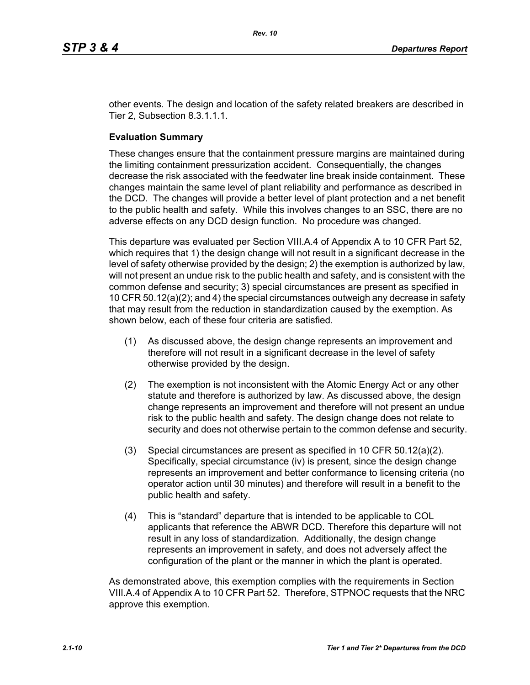other events. The design and location of the safety related breakers are described in Tier 2, Subsection 8.3.1.1.1.

#### **Evaluation Summary**

These changes ensure that the containment pressure margins are maintained during the limiting containment pressurization accident. Consequentially, the changes decrease the risk associated with the feedwater line break inside containment. These changes maintain the same level of plant reliability and performance as described in the DCD. The changes will provide a better level of plant protection and a net benefit to the public health and safety. While this involves changes to an SSC, there are no adverse effects on any DCD design function. No procedure was changed.

This departure was evaluated per Section VIII.A.4 of Appendix A to 10 CFR Part 52, which requires that 1) the design change will not result in a significant decrease in the level of safety otherwise provided by the design; 2) the exemption is authorized by law, will not present an undue risk to the public health and safety, and is consistent with the common defense and security; 3) special circumstances are present as specified in 10 CFR 50.12(a)(2); and 4) the special circumstances outweigh any decrease in safety that may result from the reduction in standardization caused by the exemption. As shown below, each of these four criteria are satisfied.

- (1) As discussed above, the design change represents an improvement and therefore will not result in a significant decrease in the level of safety otherwise provided by the design.
- (2) The exemption is not inconsistent with the Atomic Energy Act or any other statute and therefore is authorized by law. As discussed above, the design change represents an improvement and therefore will not present an undue risk to the public health and safety. The design change does not relate to security and does not otherwise pertain to the common defense and security.
- (3) Special circumstances are present as specified in 10 CFR 50.12(a)(2). Specifically, special circumstance (iv) is present, since the design change represents an improvement and better conformance to licensing criteria (no operator action until 30 minutes) and therefore will result in a benefit to the public health and safety.
- (4) This is "standard" departure that is intended to be applicable to COL applicants that reference the ABWR DCD. Therefore this departure will not result in any loss of standardization. Additionally, the design change represents an improvement in safety, and does not adversely affect the configuration of the plant or the manner in which the plant is operated.

As demonstrated above, this exemption complies with the requirements in Section VIII.A.4 of Appendix A to 10 CFR Part 52. Therefore, STPNOC requests that the NRC approve this exemption.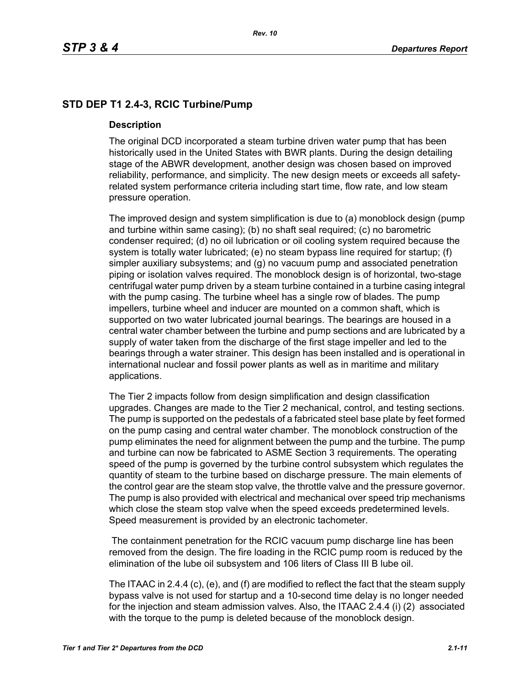# **STD DEP T1 2.4-3, RCIC Turbine/Pump**

### **Description**

The original DCD incorporated a steam turbine driven water pump that has been historically used in the United States with BWR plants. During the design detailing stage of the ABWR development, another design was chosen based on improved reliability, performance, and simplicity. The new design meets or exceeds all safetyrelated system performance criteria including start time, flow rate, and low steam pressure operation.

The improved design and system simplification is due to (a) monoblock design (pump and turbine within same casing); (b) no shaft seal required; (c) no barometric condenser required; (d) no oil lubrication or oil cooling system required because the system is totally water lubricated; (e) no steam bypass line required for startup; (f) simpler auxiliary subsystems; and (g) no vacuum pump and associated penetration piping or isolation valves required. The monoblock design is of horizontal, two-stage centrifugal water pump driven by a steam turbine contained in a turbine casing integral with the pump casing. The turbine wheel has a single row of blades. The pump impellers, turbine wheel and inducer are mounted on a common shaft, which is supported on two water lubricated journal bearings. The bearings are housed in a central water chamber between the turbine and pump sections and are lubricated by a supply of water taken from the discharge of the first stage impeller and led to the bearings through a water strainer. This design has been installed and is operational in international nuclear and fossil power plants as well as in maritime and military applications.

The Tier 2 impacts follow from design simplification and design classification upgrades. Changes are made to the Tier 2 mechanical, control, and testing sections. The pump is supported on the pedestals of a fabricated steel base plate by feet formed on the pump casing and central water chamber. The monoblock construction of the pump eliminates the need for alignment between the pump and the turbine. The pump and turbine can now be fabricated to ASME Section 3 requirements. The operating speed of the pump is governed by the turbine control subsystem which regulates the quantity of steam to the turbine based on discharge pressure. The main elements of the control gear are the steam stop valve, the throttle valve and the pressure governor. The pump is also provided with electrical and mechanical over speed trip mechanisms which close the steam stop valve when the speed exceeds predetermined levels. Speed measurement is provided by an electronic tachometer.

 The containment penetration for the RCIC vacuum pump discharge line has been removed from the design. The fire loading in the RCIC pump room is reduced by the elimination of the lube oil subsystem and 106 liters of Class III B lube oil.

The ITAAC in 2.4.4 (c), (e), and (f) are modified to reflect the fact that the steam supply bypass valve is not used for startup and a 10-second time delay is no longer needed for the injection and steam admission valves. Also, the ITAAC 2.4.4 (i) (2) associated with the torque to the pump is deleted because of the monoblock design.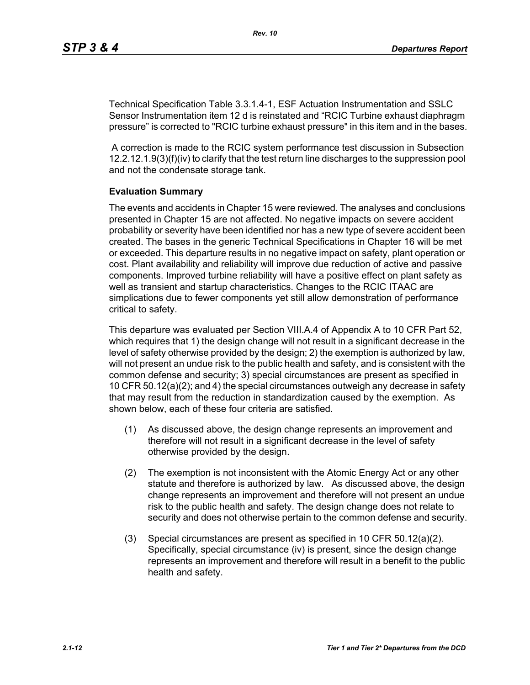Technical Specification Table 3.3.1.4-1, ESF Actuation Instrumentation and SSLC Sensor Instrumentation item 12 d is reinstated and "RCIC Turbine exhaust diaphragm pressure" is corrected to "RCIC turbine exhaust pressure" in this item and in the bases.

 A correction is made to the RCIC system performance test discussion in Subsection 12.2.12.1.9(3)(f)(iv) to clarify that the test return line discharges to the suppression pool and not the condensate storage tank.

#### **Evaluation Summary**

The events and accidents in Chapter 15 were reviewed. The analyses and conclusions presented in Chapter 15 are not affected. No negative impacts on severe accident probability or severity have been identified nor has a new type of severe accident been created. The bases in the generic Technical Specifications in Chapter 16 will be met or exceeded. This departure results in no negative impact on safety, plant operation or cost. Plant availability and reliability will improve due reduction of active and passive components. Improved turbine reliability will have a positive effect on plant safety as well as transient and startup characteristics. Changes to the RCIC ITAAC are simplications due to fewer components yet still allow demonstration of performance critical to safety.

This departure was evaluated per Section VIII.A.4 of Appendix A to 10 CFR Part 52, which requires that 1) the design change will not result in a significant decrease in the level of safety otherwise provided by the design; 2) the exemption is authorized by law, will not present an undue risk to the public health and safety, and is consistent with the common defense and security; 3) special circumstances are present as specified in 10 CFR 50.12(a)(2); and 4) the special circumstances outweigh any decrease in safety that may result from the reduction in standardization caused by the exemption. As shown below, each of these four criteria are satisfied.

- (1) As discussed above, the design change represents an improvement and therefore will not result in a significant decrease in the level of safety otherwise provided by the design.
- (2) The exemption is not inconsistent with the Atomic Energy Act or any other statute and therefore is authorized by law. As discussed above, the design change represents an improvement and therefore will not present an undue risk to the public health and safety. The design change does not relate to security and does not otherwise pertain to the common defense and security.
- (3) Special circumstances are present as specified in 10 CFR 50.12(a)(2). Specifically, special circumstance (iv) is present, since the design change represents an improvement and therefore will result in a benefit to the public health and safety.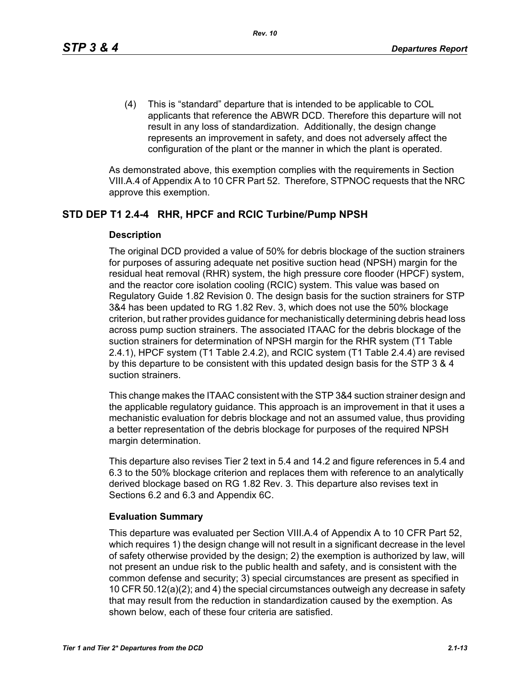(4) This is "standard" departure that is intended to be applicable to COL applicants that reference the ABWR DCD. Therefore this departure will not result in any loss of standardization. Additionally, the design change represents an improvement in safety, and does not adversely affect the configuration of the plant or the manner in which the plant is operated.

As demonstrated above, this exemption complies with the requirements in Section VIII.A.4 of Appendix A to 10 CFR Part 52. Therefore, STPNOC requests that the NRC approve this exemption.

## **STD DEP T1 2.4-4 RHR, HPCF and RCIC Turbine/Pump NPSH**

#### **Description**

The original DCD provided a value of 50% for debris blockage of the suction strainers for purposes of assuring adequate net positive suction head (NPSH) margin for the residual heat removal (RHR) system, the high pressure core flooder (HPCF) system, and the reactor core isolation cooling (RCIC) system. This value was based on Regulatory Guide 1.82 Revision 0. The design basis for the suction strainers for STP 3&4 has been updated to RG 1.82 Rev. 3, which does not use the 50% blockage criterion, but rather provides guidance for mechanistically determining debris head loss across pump suction strainers. The associated ITAAC for the debris blockage of the suction strainers for determination of NPSH margin for the RHR system (T1 Table 2.4.1), HPCF system (T1 Table 2.4.2), and RCIC system (T1 Table 2.4.4) are revised by this departure to be consistent with this updated design basis for the STP 3 & 4 suction strainers.

This change makes the ITAAC consistent with the STP 3&4 suction strainer design and the applicable regulatory guidance. This approach is an improvement in that it uses a mechanistic evaluation for debris blockage and not an assumed value, thus providing a better representation of the debris blockage for purposes of the required NPSH margin determination.

This departure also revises Tier 2 text in 5.4 and 14.2 and figure references in 5.4 and 6.3 to the 50% blockage criterion and replaces them with reference to an analytically derived blockage based on RG 1.82 Rev. 3. This departure also revises text in Sections 6.2 and 6.3 and Appendix 6C.

#### **Evaluation Summary**

This departure was evaluated per Section VIII.A.4 of Appendix A to 10 CFR Part 52, which requires 1) the design change will not result in a significant decrease in the level of safety otherwise provided by the design; 2) the exemption is authorized by law, will not present an undue risk to the public health and safety, and is consistent with the common defense and security; 3) special circumstances are present as specified in 10 CFR 50.12(a)(2); and 4) the special circumstances outweigh any decrease in safety that may result from the reduction in standardization caused by the exemption. As shown below, each of these four criteria are satisfied.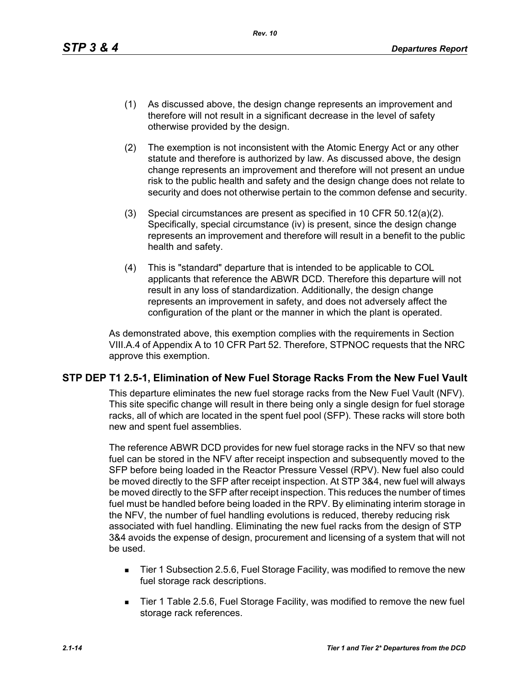- (1) As discussed above, the design change represents an improvement and therefore will not result in a significant decrease in the level of safety otherwise provided by the design.
- (2) The exemption is not inconsistent with the Atomic Energy Act or any other statute and therefore is authorized by law. As discussed above, the design change represents an improvement and therefore will not present an undue risk to the public health and safety and the design change does not relate to security and does not otherwise pertain to the common defense and security.
- (3) Special circumstances are present as specified in 10 CFR 50.12(a)(2). Specifically, special circumstance (iv) is present, since the design change represents an improvement and therefore will result in a benefit to the public health and safety.
- (4) This is "standard" departure that is intended to be applicable to COL applicants that reference the ABWR DCD. Therefore this departure will not result in any loss of standardization. Additionally, the design change represents an improvement in safety, and does not adversely affect the configuration of the plant or the manner in which the plant is operated.

As demonstrated above, this exemption complies with the requirements in Section VIII.A.4 of Appendix A to 10 CFR Part 52. Therefore, STPNOC requests that the NRC approve this exemption.

## **STP DEP T1 2.5-1, Elimination of New Fuel Storage Racks From the New Fuel Vault**

This departure eliminates the new fuel storage racks from the New Fuel Vault (NFV). This site specific change will result in there being only a single design for fuel storage racks, all of which are located in the spent fuel pool (SFP). These racks will store both new and spent fuel assemblies.

The reference ABWR DCD provides for new fuel storage racks in the NFV so that new fuel can be stored in the NFV after receipt inspection and subsequently moved to the SFP before being loaded in the Reactor Pressure Vessel (RPV). New fuel also could be moved directly to the SFP after receipt inspection. At STP 3&4, new fuel will always be moved directly to the SFP after receipt inspection. This reduces the number of times fuel must be handled before being loaded in the RPV. By eliminating interim storage in the NFV, the number of fuel handling evolutions is reduced, thereby reducing risk associated with fuel handling. Eliminating the new fuel racks from the design of STP 3&4 avoids the expense of design, procurement and licensing of a system that will not be used.

- Tier 1 Subsection 2.5.6, Fuel Storage Facility, was modified to remove the new fuel storage rack descriptions.
- Tier 1 Table 2.5.6, Fuel Storage Facility, was modified to remove the new fuel storage rack references.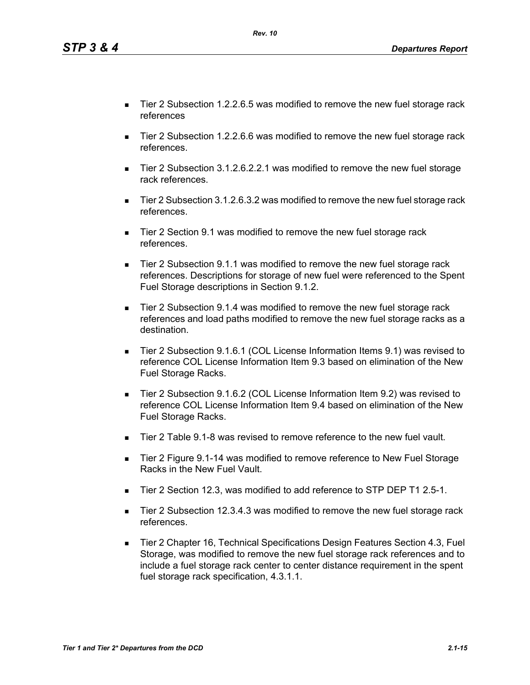*Tier 1 and Tier 2\* Departures from the DCD 2.1-15*

- Tier 2 Subsection 1.2.2.6.5 was modified to remove the new fuel storage rack references
- Tier 2 Subsection 1.2.2.6.6 was modified to remove the new fuel storage rack references.
- Tier 2 Subsection 3.1.2.6.2.2.1 was modified to remove the new fuel storage rack references.
- Tier 2 Subsection 3.1.2.6.3.2 was modified to remove the new fuel storage rack references.
- Tier 2 Section 9.1 was modified to remove the new fuel storage rack references.
- Tier 2 Subsection 9.1.1 was modified to remove the new fuel storage rack references. Descriptions for storage of new fuel were referenced to the Spent Fuel Storage descriptions in Section 9.1.2.
- Tier 2 Subsection 9.1.4 was modified to remove the new fuel storage rack references and load paths modified to remove the new fuel storage racks as a destination.
- Tier 2 Subsection 9.1.6.1 (COL License Information Items 9.1) was revised to reference COL License Information Item 9.3 based on elimination of the New Fuel Storage Racks.
- Tier 2 Subsection 9.1.6.2 (COL License Information Item 9.2) was revised to reference COL License Information Item 9.4 based on elimination of the New Fuel Storage Racks.
- Tier 2 Table 9.1-8 was revised to remove reference to the new fuel vault.
- Tier 2 Figure 9.1-14 was modified to remove reference to New Fuel Storage Racks in the New Fuel Vault.
- Tier 2 Section 12.3, was modified to add reference to STP DEP T1 2.5-1.
- Tier 2 Subsection 12.3.4.3 was modified to remove the new fuel storage rack references.
- Tier 2 Chapter 16, Technical Specifications Design Features Section 4.3, Fuel Storage, was modified to remove the new fuel storage rack references and to include a fuel storage rack center to center distance requirement in the spent fuel storage rack specification, 4.3.1.1.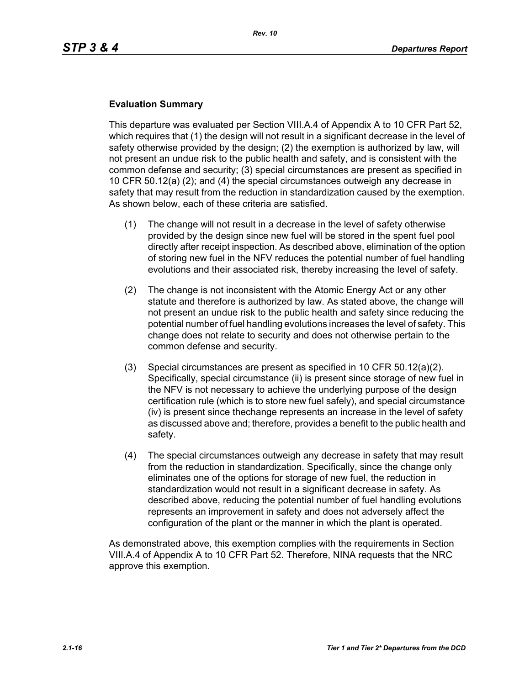#### **Evaluation Summary**

This departure was evaluated per Section VIII.A.4 of Appendix A to 10 CFR Part 52, which requires that (1) the design will not result in a significant decrease in the level of safety otherwise provided by the design; (2) the exemption is authorized by law, will not present an undue risk to the public health and safety, and is consistent with the common defense and security; (3) special circumstances are present as specified in 10 CFR 50.12(a) (2); and (4) the special circumstances outweigh any decrease in safety that may result from the reduction in standardization caused by the exemption. As shown below, each of these criteria are satisfied.

- (1) The change will not result in a decrease in the level of safety otherwise provided by the design since new fuel will be stored in the spent fuel pool directly after receipt inspection. As described above, elimination of the option of storing new fuel in the NFV reduces the potential number of fuel handling evolutions and their associated risk, thereby increasing the level of safety.
- (2) The change is not inconsistent with the Atomic Energy Act or any other statute and therefore is authorized by law. As stated above, the change will not present an undue risk to the public health and safety since reducing the potential number of fuel handling evolutions increases the level of safety. This change does not relate to security and does not otherwise pertain to the common defense and security.
- (3) Special circumstances are present as specified in 10 CFR 50.12(a)(2). Specifically, special circumstance (ii) is present since storage of new fuel in the NFV is not necessary to achieve the underlying purpose of the design certification rule (which is to store new fuel safely), and special circumstance (iv) is present since thechange represents an increase in the level of safety as discussed above and; therefore, provides a benefit to the public health and safety.
- (4) The special circumstances outweigh any decrease in safety that may result from the reduction in standardization. Specifically, since the change only eliminates one of the options for storage of new fuel, the reduction in standardization would not result in a significant decrease in safety. As described above, reducing the potential number of fuel handling evolutions represents an improvement in safety and does not adversely affect the configuration of the plant or the manner in which the plant is operated.

As demonstrated above, this exemption complies with the requirements in Section VIII.A.4 of Appendix A to 10 CFR Part 52. Therefore, NINA requests that the NRC approve this exemption.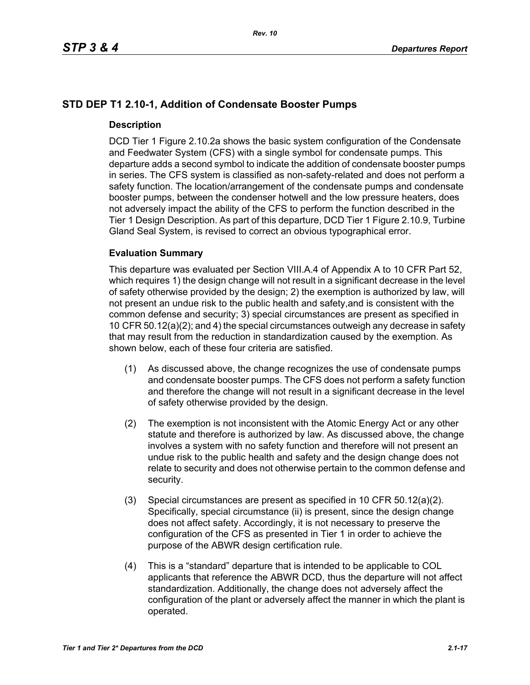## **STD DEP T1 2.10-1, Addition of Condensate Booster Pumps**

## **Description**

DCD Tier 1 Figure 2.10.2a shows the basic system configuration of the Condensate and Feedwater System (CFS) with a single symbol for condensate pumps. This departure adds a second symbol to indicate the addition of condensate booster pumps in series. The CFS system is classified as non-safety-related and does not perform a safety function. The location/arrangement of the condensate pumps and condensate booster pumps, between the condenser hotwell and the low pressure heaters, does not adversely impact the ability of the CFS to perform the function described in the Tier 1 Design Description. As part of this departure, DCD Tier 1 Figure 2.10.9, Turbine Gland Seal System, is revised to correct an obvious typographical error.

## **Evaluation Summary**

This departure was evaluated per Section VIII.A.4 of Appendix A to 10 CFR Part 52, which requires 1) the design change will not result in a significant decrease in the level of safety otherwise provided by the design; 2) the exemption is authorized by law, will not present an undue risk to the public health and safety,and is consistent with the common defense and security; 3) special circumstances are present as specified in 10 CFR 50.12(a)(2); and 4) the special circumstances outweigh any decrease in safety that may result from the reduction in standardization caused by the exemption. As shown below, each of these four criteria are satisfied.

- (1) As discussed above, the change recognizes the use of condensate pumps and condensate booster pumps. The CFS does not perform a safety function and therefore the change will not result in a significant decrease in the level of safety otherwise provided by the design.
- (2) The exemption is not inconsistent with the Atomic Energy Act or any other statute and therefore is authorized by law. As discussed above, the change involves a system with no safety function and therefore will not present an undue risk to the public health and safety and the design change does not relate to security and does not otherwise pertain to the common defense and security.
- (3) Special circumstances are present as specified in 10 CFR 50.12(a)(2). Specifically, special circumstance (ii) is present, since the design change does not affect safety. Accordingly, it is not necessary to preserve the configuration of the CFS as presented in Tier 1 in order to achieve the purpose of the ABWR design certification rule.
- (4) This is a "standard" departure that is intended to be applicable to COL applicants that reference the ABWR DCD, thus the departure will not affect standardization. Additionally, the change does not adversely affect the configuration of the plant or adversely affect the manner in which the plant is operated.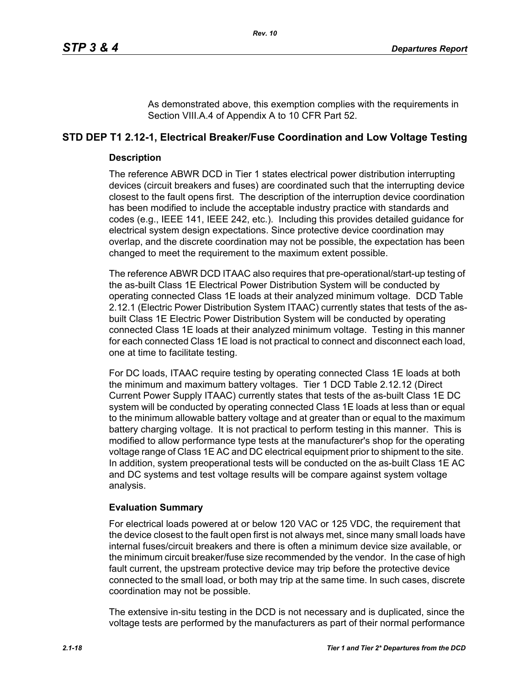As demonstrated above, this exemption complies with the requirements in Section VIII.A.4 of Appendix A to 10 CFR Part 52.

## **STD DEP T1 2.12-1, Electrical Breaker/Fuse Coordination and Low Voltage Testing**

## **Description**

The reference ABWR DCD in Tier 1 states electrical power distribution interrupting devices (circuit breakers and fuses) are coordinated such that the interrupting device closest to the fault opens first. The description of the interruption device coordination has been modified to include the acceptable industry practice with standards and codes (e.g., IEEE 141, IEEE 242, etc.). Including this provides detailed guidance for electrical system design expectations. Since protective device coordination may overlap, and the discrete coordination may not be possible, the expectation has been changed to meet the requirement to the maximum extent possible.

The reference ABWR DCD ITAAC also requires that pre-operational/start-up testing of the as-built Class 1E Electrical Power Distribution System will be conducted by operating connected Class 1E loads at their analyzed minimum voltage. DCD Table 2.12.1 (Electric Power Distribution System ITAAC) currently states that tests of the asbuilt Class 1E Electric Power Distribution System will be conducted by operating connected Class 1E loads at their analyzed minimum voltage. Testing in this manner for each connected Class 1E load is not practical to connect and disconnect each load, one at time to facilitate testing.

For DC loads, ITAAC require testing by operating connected Class 1E loads at both the minimum and maximum battery voltages. Tier 1 DCD Table 2.12.12 (Direct Current Power Supply ITAAC) currently states that tests of the as-built Class 1E DC system will be conducted by operating connected Class 1E loads at less than or equal to the minimum allowable battery voltage and at greater than or equal to the maximum battery charging voltage. It is not practical to perform testing in this manner. This is modified to allow performance type tests at the manufacturer's shop for the operating voltage range of Class 1E AC and DC electrical equipment prior to shipment to the site. In addition, system preoperational tests will be conducted on the as-built Class 1E AC and DC systems and test voltage results will be compare against system voltage analysis.

## **Evaluation Summary**

For electrical loads powered at or below 120 VAC or 125 VDC, the requirement that the device closest to the fault open first is not always met, since many small loads have internal fuses/circuit breakers and there is often a minimum device size available, or the minimum circuit breaker/fuse size recommended by the vendor. In the case of high fault current, the upstream protective device may trip before the protective device connected to the small load, or both may trip at the same time. In such cases, discrete coordination may not be possible.

The extensive in-situ testing in the DCD is not necessary and is duplicated, since the voltage tests are performed by the manufacturers as part of their normal performance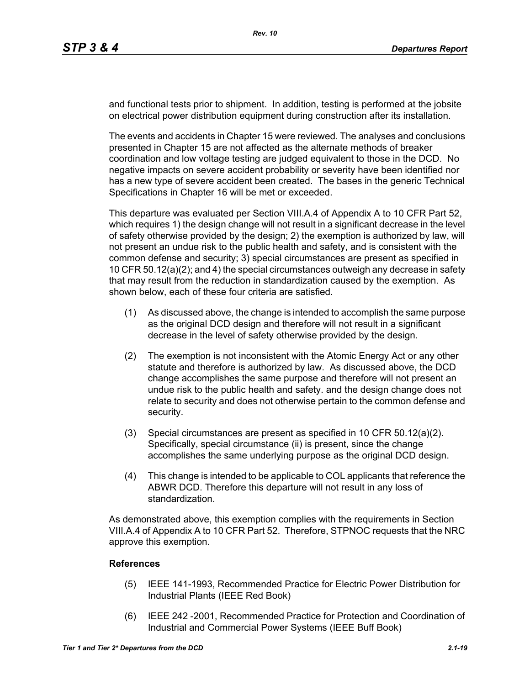and functional tests prior to shipment. In addition, testing is performed at the jobsite on electrical power distribution equipment during construction after its installation.

The events and accidents in Chapter 15 were reviewed. The analyses and conclusions presented in Chapter 15 are not affected as the alternate methods of breaker coordination and low voltage testing are judged equivalent to those in the DCD. No negative impacts on severe accident probability or severity have been identified nor has a new type of severe accident been created. The bases in the generic Technical Specifications in Chapter 16 will be met or exceeded.

This departure was evaluated per Section VIII.A.4 of Appendix A to 10 CFR Part 52, which requires 1) the design change will not result in a significant decrease in the level of safety otherwise provided by the design; 2) the exemption is authorized by law, will not present an undue risk to the public health and safety, and is consistent with the common defense and security; 3) special circumstances are present as specified in 10 CFR 50.12(a)(2); and 4) the special circumstances outweigh any decrease in safety that may result from the reduction in standardization caused by the exemption. As shown below, each of these four criteria are satisfied.

- (1) As discussed above, the change is intended to accomplish the same purpose as the original DCD design and therefore will not result in a significant decrease in the level of safety otherwise provided by the design.
- (2) The exemption is not inconsistent with the Atomic Energy Act or any other statute and therefore is authorized by law. As discussed above, the DCD change accomplishes the same purpose and therefore will not present an undue risk to the public health and safety. and the design change does not relate to security and does not otherwise pertain to the common defense and security.
- (3) Special circumstances are present as specified in 10 CFR 50.12(a)(2). Specifically, special circumstance (ii) is present, since the change accomplishes the same underlying purpose as the original DCD design.
- (4) This change is intended to be applicable to COL applicants that reference the ABWR DCD. Therefore this departure will not result in any loss of standardization.

As demonstrated above, this exemption complies with the requirements in Section VIII.A.4 of Appendix A to 10 CFR Part 52. Therefore, STPNOC requests that the NRC approve this exemption.

## **References**

- (5) IEEE 141-1993, Recommended Practice for Electric Power Distribution for Industrial Plants (IEEE Red Book)
- (6) IEEE 242 -2001, Recommended Practice for Protection and Coordination of Industrial and Commercial Power Systems (IEEE Buff Book)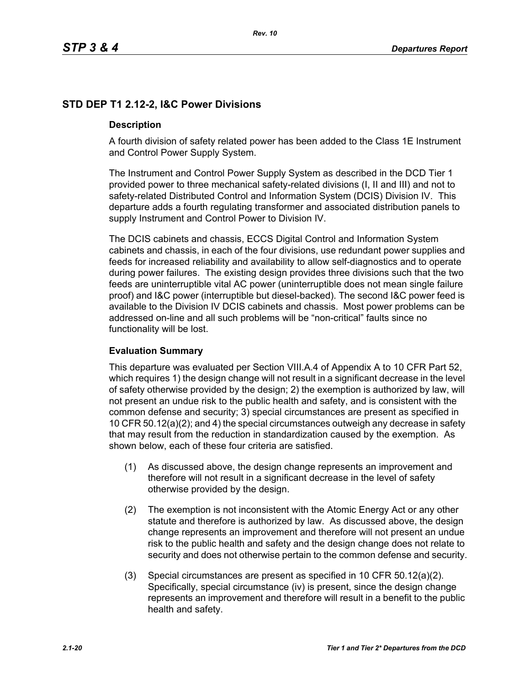## **STD DEP T1 2.12-2, I&C Power Divisions**

## **Description**

A fourth division of safety related power has been added to the Class 1E Instrument and Control Power Supply System.

The Instrument and Control Power Supply System as described in the DCD Tier 1 provided power to three mechanical safety-related divisions (I, II and III) and not to safety-related Distributed Control and Information System (DCIS) Division IV. This departure adds a fourth regulating transformer and associated distribution panels to supply Instrument and Control Power to Division IV.

The DCIS cabinets and chassis, ECCS Digital Control and Information System cabinets and chassis, in each of the four divisions, use redundant power supplies and feeds for increased reliability and availability to allow self-diagnostics and to operate during power failures. The existing design provides three divisions such that the two feeds are uninterruptible vital AC power (uninterruptible does not mean single failure proof) and I&C power (interruptible but diesel-backed). The second I&C power feed is available to the Division IV DCIS cabinets and chassis. Most power problems can be addressed on-line and all such problems will be "non-critical" faults since no functionality will be lost.

## **Evaluation Summary**

This departure was evaluated per Section VIII.A.4 of Appendix A to 10 CFR Part 52, which requires 1) the design change will not result in a significant decrease in the level of safety otherwise provided by the design; 2) the exemption is authorized by law, will not present an undue risk to the public health and safety, and is consistent with the common defense and security; 3) special circumstances are present as specified in 10 CFR 50.12(a)(2); and 4) the special circumstances outweigh any decrease in safety that may result from the reduction in standardization caused by the exemption. As shown below, each of these four criteria are satisfied.

- (1) As discussed above, the design change represents an improvement and therefore will not result in a significant decrease in the level of safety otherwise provided by the design.
- (2) The exemption is not inconsistent with the Atomic Energy Act or any other statute and therefore is authorized by law. As discussed above, the design change represents an improvement and therefore will not present an undue risk to the public health and safety and the design change does not relate to security and does not otherwise pertain to the common defense and security.
- (3) Special circumstances are present as specified in 10 CFR 50.12(a)(2). Specifically, special circumstance (iv) is present, since the design change represents an improvement and therefore will result in a benefit to the public health and safety.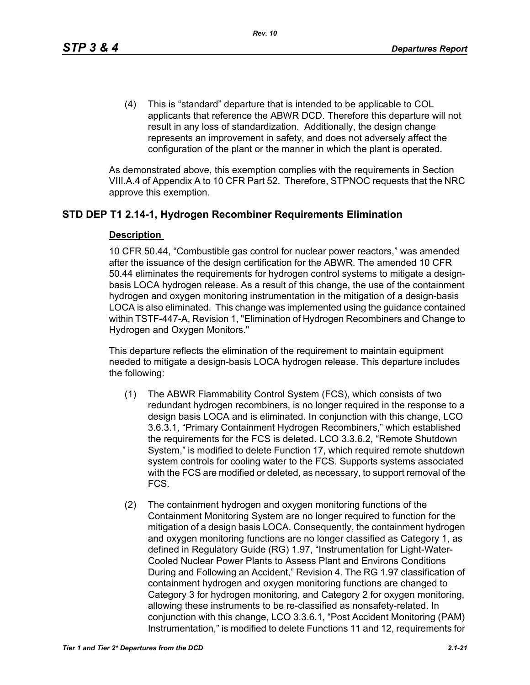(4) This is "standard" departure that is intended to be applicable to COL applicants that reference the ABWR DCD. Therefore this departure will not result in any loss of standardization. Additionally, the design change represents an improvement in safety, and does not adversely affect the configuration of the plant or the manner in which the plant is operated.

As demonstrated above, this exemption complies with the requirements in Section VIII.A.4 of Appendix A to 10 CFR Part 52. Therefore, STPNOC requests that the NRC approve this exemption.

## **STD DEP T1 2.14-1, Hydrogen Recombiner Requirements Elimination**

#### **Description**

10 CFR 50.44, "Combustible gas control for nuclear power reactors," was amended after the issuance of the design certification for the ABWR. The amended 10 CFR 50.44 eliminates the requirements for hydrogen control systems to mitigate a designbasis LOCA hydrogen release. As a result of this change, the use of the containment hydrogen and oxygen monitoring instrumentation in the mitigation of a design-basis LOCA is also eliminated. This change was implemented using the guidance contained within TSTF-447-A, Revision 1, "Elimination of Hydrogen Recombiners and Change to Hydrogen and Oxygen Monitors."

This departure reflects the elimination of the requirement to maintain equipment needed to mitigate a design-basis LOCA hydrogen release. This departure includes the following:

- (1) The ABWR Flammability Control System (FCS), which consists of two redundant hydrogen recombiners, is no longer required in the response to a design basis LOCA and is eliminated. In conjunction with this change, LCO 3.6.3.1, "Primary Containment Hydrogen Recombiners," which established the requirements for the FCS is deleted. LCO 3.3.6.2, "Remote Shutdown System," is modified to delete Function 17, which required remote shutdown system controls for cooling water to the FCS. Supports systems associated with the FCS are modified or deleted, as necessary, to support removal of the FCS.
- (2) The containment hydrogen and oxygen monitoring functions of the Containment Monitoring System are no longer required to function for the mitigation of a design basis LOCA. Consequently, the containment hydrogen and oxygen monitoring functions are no longer classified as Category 1, as defined in Regulatory Guide (RG) 1.97, "Instrumentation for Light-Water-Cooled Nuclear Power Plants to Assess Plant and Environs Conditions During and Following an Accident," Revision 4. The RG 1.97 classification of containment hydrogen and oxygen monitoring functions are changed to Category 3 for hydrogen monitoring, and Category 2 for oxygen monitoring, allowing these instruments to be re-classified as nonsafety-related. In conjunction with this change, LCO 3.3.6.1, "Post Accident Monitoring (PAM) Instrumentation," is modified to delete Functions 11 and 12, requirements for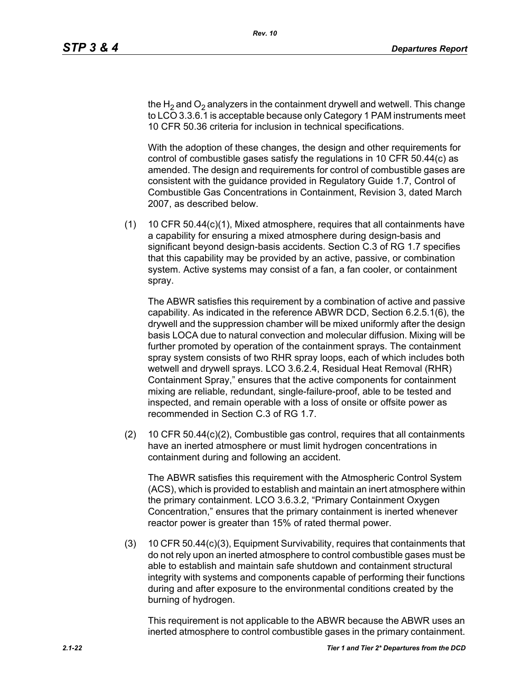the H<sub>2</sub> and O<sub>2</sub> analyzers in the containment drywell and wetwell. This change to LCO 3.3.6.1 is acceptable because only Category 1 PAM instruments meet 10 CFR 50.36 criteria for inclusion in technical specifications.

With the adoption of these changes, the design and other requirements for control of combustible gases satisfy the regulations in 10 CFR 50.44(c) as amended. The design and requirements for control of combustible gases are consistent with the guidance provided in Regulatory Guide 1.7, Control of Combustible Gas Concentrations in Containment, Revision 3, dated March 2007, as described below.

(1) 10 CFR 50.44(c)(1), Mixed atmosphere, requires that all containments have a capability for ensuring a mixed atmosphere during design-basis and significant beyond design-basis accidents. Section C.3 of RG 1.7 specifies that this capability may be provided by an active, passive, or combination system. Active systems may consist of a fan, a fan cooler, or containment spray.

The ABWR satisfies this requirement by a combination of active and passive capability. As indicated in the reference ABWR DCD, Section 6.2.5.1(6), the drywell and the suppression chamber will be mixed uniformly after the design basis LOCA due to natural convection and molecular diffusion. Mixing will be further promoted by operation of the containment sprays. The containment spray system consists of two RHR spray loops, each of which includes both wetwell and drywell sprays. LCO 3.6.2.4, Residual Heat Removal (RHR) Containment Spray," ensures that the active components for containment mixing are reliable, redundant, single-failure-proof, able to be tested and inspected, and remain operable with a loss of onsite or offsite power as recommended in Section C.3 of RG 1.7.

(2) 10 CFR 50.44(c)(2), Combustible gas control, requires that all containments have an inerted atmosphere or must limit hydrogen concentrations in containment during and following an accident.

The ABWR satisfies this requirement with the Atmospheric Control System (ACS), which is provided to establish and maintain an inert atmosphere within the primary containment. LCO 3.6.3.2, "Primary Containment Oxygen Concentration," ensures that the primary containment is inerted whenever reactor power is greater than 15% of rated thermal power.

(3) 10 CFR 50.44(c)(3), Equipment Survivability, requires that containments that do not rely upon an inerted atmosphere to control combustible gases must be able to establish and maintain safe shutdown and containment structural integrity with systems and components capable of performing their functions during and after exposure to the environmental conditions created by the burning of hydrogen.

This requirement is not applicable to the ABWR because the ABWR uses an inerted atmosphere to control combustible gases in the primary containment.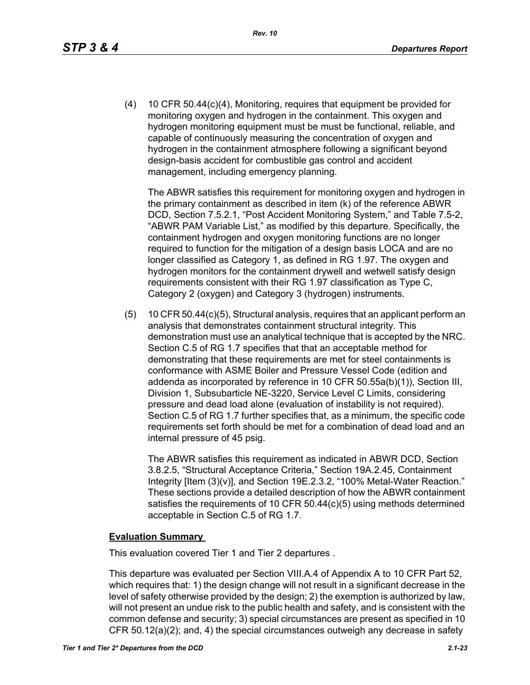(4) 10 CFR 50.44(c)(4), Monitoring, requires that equipment be provided for monitoring oxygen and hydrogen in the containment. This oxygen and hydrogen monitoring equipment must be must be functional, reliable, and capable of continuously measuring the concentration of oxygen and hydrogen in the containment atmosphere following a significant beyond design-basis accident for combustible gas control and accident management, including emergency planning.

The ABWR satisfies this requirement for monitoring oxygen and hydrogen in the primary containment as described in item (k) of the reference ABWR DCD, Section 7.5.2.1, "Post Accident Monitoring System," and Table 7.5-2, "ABWR PAM Variable List," as modified by this departure. Specifically, the containment hydrogen and oxygen monitoring functions are no longer required to function for the mitigation of a design basis LOCA and are no longer classified as Category 1, as defined in RG 1.97. The oxygen and hydrogen monitors for the containment drywell and wetwell satisfy design requirements consistent with their RG 1.97 classification as Type C, Category 2 (oxygen) and Category 3 (hydrogen) instruments.

(5) 10 CFR 50.44(c)(5), Structural analysis, requires that an applicant perform an analysis that demonstrates containment structural integrity. This demonstration must use an analytical technique that is accepted by the NRC. Section C.5 of RG 1.7 specifies that that an acceptable method for demonstrating that these requirements are met for steel containments is conformance with ASME Boiler and Pressure Vessel Code (edition and addenda as incorporated by reference in 10 CFR 50.55a(b)(1)), Section III, Division 1, Subsubarticle NE-3220, Service Level C Limits, considering pressure and dead load alone (evaluation of instability is not required). Section C.5 of RG 1.7 further specifies that, as a minimum, the specific code requirements set forth should be met for a combination of dead load and an internal pressure of 45 psig.

The ABWR satisfies this requirement as indicated in ABWR DCD, Section 3.8.2.5, "Structural Acceptance Criteria," Section 19A.2.45, Containment Integrity [Item (3)(v)], and Section 19E.2.3.2, "100% Metal-Water Reaction." These sections provide a detailed description of how the ABWR containment satisfies the requirements of 10 CFR 50.44(c)(5) using methods determined acceptable in Section C.5 of RG 1.7.

#### **Evaluation Summary**

This evaluation covered Tier 1 and Tier 2 departures .

This departure was evaluated per Section VIII.A.4 of Appendix A to 10 CFR Part 52, which requires that: 1) the design change will not result in a significant decrease in the level of safety otherwise provided by the design; 2) the exemption is authorized by law, will not present an undue risk to the public health and safety, and is consistent with the common defense and security; 3) special circumstances are present as specified in 10 CFR 50.12(a)(2); and, 4) the special circumstances outweigh any decrease in safety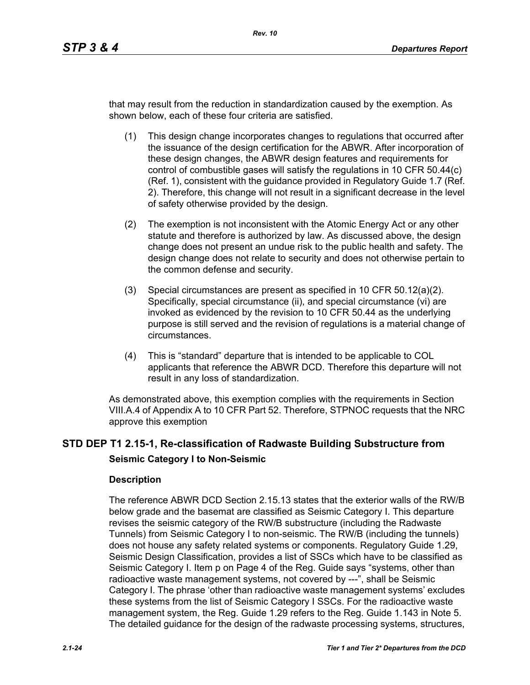that may result from the reduction in standardization caused by the exemption. As shown below, each of these four criteria are satisfied.

- (1) This design change incorporates changes to regulations that occurred after the issuance of the design certification for the ABWR. After incorporation of these design changes, the ABWR design features and requirements for control of combustible gases will satisfy the regulations in 10 CFR 50.44(c) (Ref. 1), consistent with the guidance provided in Regulatory Guide 1.7 (Ref. 2). Therefore, this change will not result in a significant decrease in the level of safety otherwise provided by the design.
- (2) The exemption is not inconsistent with the Atomic Energy Act or any other statute and therefore is authorized by law. As discussed above, the design change does not present an undue risk to the public health and safety. The design change does not relate to security and does not otherwise pertain to the common defense and security.
- (3) Special circumstances are present as specified in 10 CFR 50.12(a)(2). Specifically, special circumstance (ii), and special circumstance (vi) are invoked as evidenced by the revision to 10 CFR 50.44 as the underlying purpose is still served and the revision of regulations is a material change of circumstances.
- (4) This is "standard" departure that is intended to be applicable to COL applicants that reference the ABWR DCD. Therefore this departure will not result in any loss of standardization.

As demonstrated above, this exemption complies with the requirements in Section VIII.A.4 of Appendix A to 10 CFR Part 52. Therefore, STPNOC requests that the NRC approve this exemption

# **STD DEP T1 2.15-1, Re-classification of Radwaste Building Substructure from Seismic Category I to Non-Seismic**

## **Description**

The reference ABWR DCD Section 2.15.13 states that the exterior walls of the RW/B below grade and the basemat are classified as Seismic Category I. This departure revises the seismic category of the RW/B substructure (including the Radwaste Tunnels) from Seismic Category I to non-seismic. The RW/B (including the tunnels) does not house any safety related systems or components. Regulatory Guide 1.29, Seismic Design Classification, provides a list of SSCs which have to be classified as Seismic Category I. Item p on Page 4 of the Reg. Guide says "systems, other than radioactive waste management systems, not covered by ---", shall be Seismic Category I. The phrase 'other than radioactive waste management systems' excludes these systems from the list of Seismic Category I SSCs. For the radioactive waste management system, the Reg. Guide 1.29 refers to the Reg. Guide 1.143 in Note 5. The detailed guidance for the design of the radwaste processing systems, structures,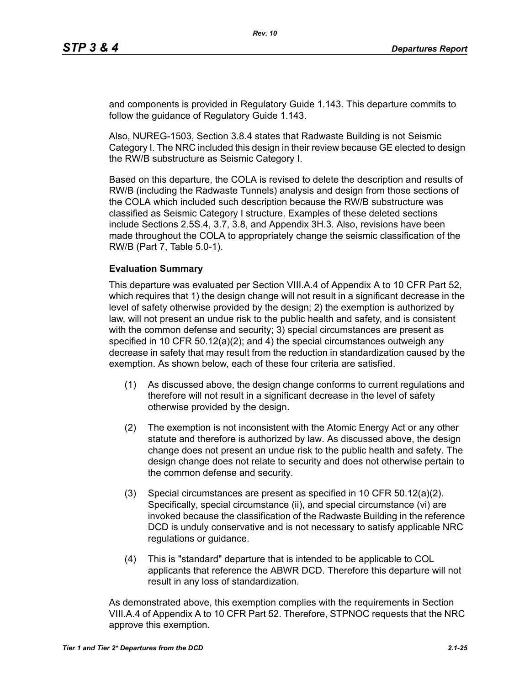and components is provided in Regulatory Guide 1.143. This departure commits to follow the guidance of Regulatory Guide 1.143.

Also, NUREG-1503, Section 3.8.4 states that Radwaste Building is not Seismic Category I. The NRC included this design in their review because GE elected to design the RW/B substructure as Seismic Category I.

Based on this departure, the COLA is revised to delete the description and results of RW/B (including the Radwaste Tunnels) analysis and design from those sections of the COLA which included such description because the RW/B substructure was classified as Seismic Category I structure. Examples of these deleted sections include Sections 2.5S.4, 3.7, 3.8, and Appendix 3H.3. Also, revisions have been made throughout the COLA to appropriately change the seismic classification of the RW/B (Part 7, Table 5.0-1).

#### **Evaluation Summary**

This departure was evaluated per Section VIII.A.4 of Appendix A to 10 CFR Part 52, which requires that 1) the design change will not result in a significant decrease in the level of safety otherwise provided by the design; 2) the exemption is authorized by law, will not present an undue risk to the public health and safety, and is consistent with the common defense and security; 3) special circumstances are present as specified in 10 CFR 50.12(a)(2); and 4) the special circumstances outweigh any decrease in safety that may result from the reduction in standardization caused by the exemption. As shown below, each of these four criteria are satisfied.

- (1) As discussed above, the design change conforms to current regulations and therefore will not result in a significant decrease in the level of safety otherwise provided by the design.
- (2) The exemption is not inconsistent with the Atomic Energy Act or any other statute and therefore is authorized by law. As discussed above, the design change does not present an undue risk to the public health and safety. The design change does not relate to security and does not otherwise pertain to the common defense and security.
- (3) Special circumstances are present as specified in 10 CFR 50.12(a)(2). Specifically, special circumstance (ii), and special circumstance (vi) are invoked because the classification of the Radwaste Building in the reference DCD is unduly conservative and is not necessary to satisfy applicable NRC regulations or guidance.
- (4) This is "standard" departure that is intended to be applicable to COL applicants that reference the ABWR DCD. Therefore this departure will not result in any loss of standardization.

As demonstrated above, this exemption complies with the requirements in Section VIII.A.4 of Appendix A to 10 CFR Part 52. Therefore, STPNOC requests that the NRC approve this exemption.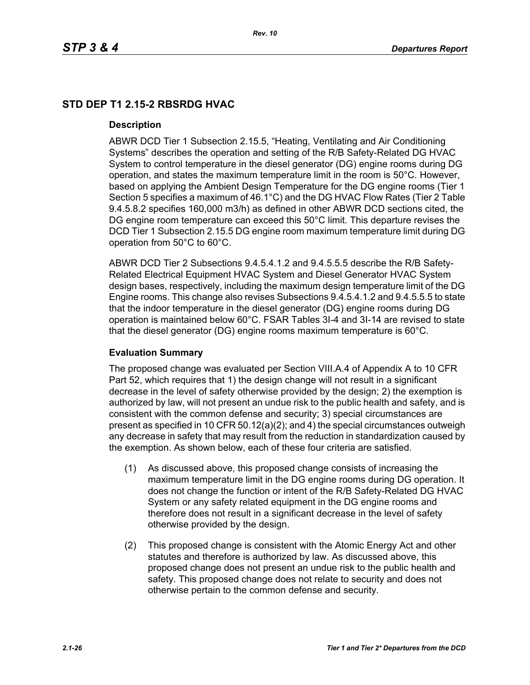# **STD DEP T1 2.15-2 RBSRDG HVAC**

### **Description**

ABWR DCD Tier 1 Subsection 2.15.5, "Heating, Ventilating and Air Conditioning Systems" describes the operation and setting of the R/B Safety-Related DG HVAC System to control temperature in the diesel generator (DG) engine rooms during DG operation, and states the maximum temperature limit in the room is 50°C. However, based on applying the Ambient Design Temperature for the DG engine rooms (Tier 1 Section 5 specifies a maximum of 46.1°C) and the DG HVAC Flow Rates (Tier 2 Table 9.4.5.8.2 specifies 160,000 m3/h) as defined in other ABWR DCD sections cited, the DG engine room temperature can exceed this 50°C limit. This departure revises the DCD Tier 1 Subsection 2.15.5 DG engine room maximum temperature limit during DG operation from 50°C to 60°C.

ABWR DCD Tier 2 Subsections 9.4.5.4.1.2 and 9.4.5.5.5 describe the R/B Safety-Related Electrical Equipment HVAC System and Diesel Generator HVAC System design bases, respectively, including the maximum design temperature limit of the DG Engine rooms. This change also revises Subsections 9.4.5.4.1.2 and 9.4.5.5.5 to state that the indoor temperature in the diesel generator (DG) engine rooms during DG operation is maintained below 60°C. FSAR Tables 3I-4 and 3I-14 are revised to state that the diesel generator (DG) engine rooms maximum temperature is 60°C.

## **Evaluation Summary**

The proposed change was evaluated per Section VIII.A.4 of Appendix A to 10 CFR Part 52, which requires that 1) the design change will not result in a significant decrease in the level of safety otherwise provided by the design; 2) the exemption is authorized by law, will not present an undue risk to the public health and safety, and is consistent with the common defense and security; 3) special circumstances are present as specified in 10 CFR 50.12(a)(2); and 4) the special circumstances outweigh any decrease in safety that may result from the reduction in standardization caused by the exemption. As shown below, each of these four criteria are satisfied.

- (1) As discussed above, this proposed change consists of increasing the maximum temperature limit in the DG engine rooms during DG operation. It does not change the function or intent of the R/B Safety-Related DG HVAC System or any safety related equipment in the DG engine rooms and therefore does not result in a significant decrease in the level of safety otherwise provided by the design.
- (2) This proposed change is consistent with the Atomic Energy Act and other statutes and therefore is authorized by law. As discussed above, this proposed change does not present an undue risk to the public health and safety. This proposed change does not relate to security and does not otherwise pertain to the common defense and security.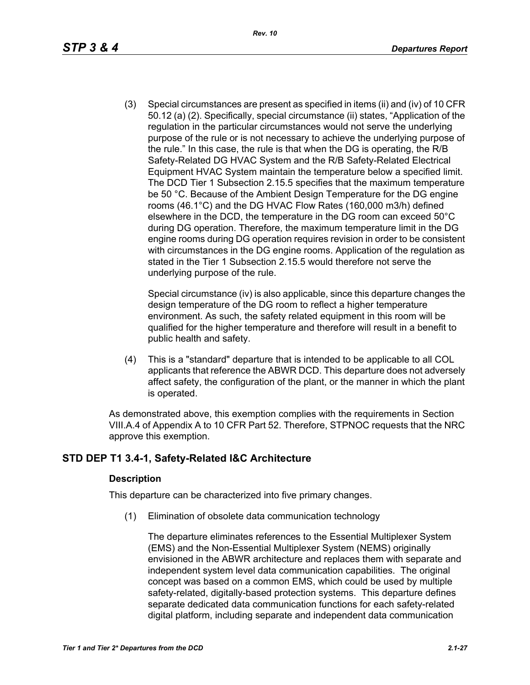(3) Special circumstances are present as specified in items (ii) and (iv) of 10 CFR 50.12 (a) (2). Specifically, special circumstance (ii) states, "Application of the regulation in the particular circumstances would not serve the underlying purpose of the rule or is not necessary to achieve the underlying purpose of the rule." In this case, the rule is that when the DG is operating, the R/B Safety-Related DG HVAC System and the R/B Safety-Related Electrical Equipment HVAC System maintain the temperature below a specified limit. The DCD Tier 1 Subsection 2.15.5 specifies that the maximum temperature be 50 °C. Because of the Ambient Design Temperature for the DG engine rooms (46.1°C) and the DG HVAC Flow Rates (160,000 m3/h) defined elsewhere in the DCD, the temperature in the DG room can exceed 50°C during DG operation. Therefore, the maximum temperature limit in the DG engine rooms during DG operation requires revision in order to be consistent with circumstances in the DG engine rooms. Application of the regulation as stated in the Tier 1 Subsection 2.15.5 would therefore not serve the underlying purpose of the rule.

Special circumstance (iv) is also applicable, since this departure changes the design temperature of the DG room to reflect a higher temperature environment. As such, the safety related equipment in this room will be qualified for the higher temperature and therefore will result in a benefit to public health and safety.

(4) This is a "standard" departure that is intended to be applicable to all COL applicants that reference the ABWR DCD. This departure does not adversely affect safety, the configuration of the plant, or the manner in which the plant is operated.

As demonstrated above, this exemption complies with the requirements in Section VIII.A.4 of Appendix A to 10 CFR Part 52. Therefore, STPNOC requests that the NRC approve this exemption.

## **STD DEP T1 3.4-1, Safety-Related I&C Architecture**

## **Description**

This departure can be characterized into five primary changes.

(1) Elimination of obsolete data communication technology

The departure eliminates references to the Essential Multiplexer System (EMS) and the Non-Essential Multiplexer System (NEMS) originally envisioned in the ABWR architecture and replaces them with separate and independent system level data communication capabilities. The original concept was based on a common EMS, which could be used by multiple safety-related, digitally-based protection systems. This departure defines separate dedicated data communication functions for each safety-related digital platform, including separate and independent data communication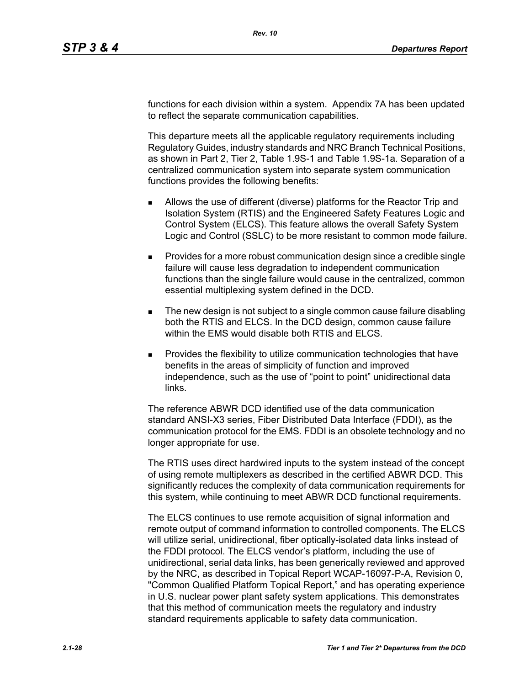functions for each division within a system. Appendix 7A has been updated to reflect the separate communication capabilities.

This departure meets all the applicable regulatory requirements including Regulatory Guides, industry standards and NRC Branch Technical Positions, as shown in Part 2, Tier 2, Table 1.9S-1 and Table 1.9S-1a. Separation of a centralized communication system into separate system communication functions provides the following benefits:

- Allows the use of different (diverse) platforms for the Reactor Trip and Isolation System (RTIS) and the Engineered Safety Features Logic and Control System (ELCS). This feature allows the overall Safety System Logic and Control (SSLC) to be more resistant to common mode failure.
- **Provides for a more robust communication design since a credible single** failure will cause less degradation to independent communication functions than the single failure would cause in the centralized, common essential multiplexing system defined in the DCD.
- The new design is not subject to a single common cause failure disabling both the RTIS and ELCS. In the DCD design, common cause failure within the EMS would disable both RTIS and ELCS.
- Provides the flexibility to utilize communication technologies that have benefits in the areas of simplicity of function and improved independence, such as the use of "point to point" unidirectional data links.

The reference ABWR DCD identified use of the data communication standard ANSI-X3 series, Fiber Distributed Data Interface (FDDI), as the communication protocol for the EMS. FDDI is an obsolete technology and no longer appropriate for use.

The RTIS uses direct hardwired inputs to the system instead of the concept of using remote multiplexers as described in the certified ABWR DCD. This significantly reduces the complexity of data communication requirements for this system, while continuing to meet ABWR DCD functional requirements.

The ELCS continues to use remote acquisition of signal information and remote output of command information to controlled components. The ELCS will utilize serial, unidirectional, fiber optically-isolated data links instead of the FDDI protocol. The ELCS vendor's platform, including the use of unidirectional, serial data links, has been generically reviewed and approved by the NRC, as described in Topical Report WCAP-16097-P-A, Revision 0, "Common Qualified Platform Topical Report," and has operating experience in U.S. nuclear power plant safety system applications. This demonstrates that this method of communication meets the regulatory and industry standard requirements applicable to safety data communication.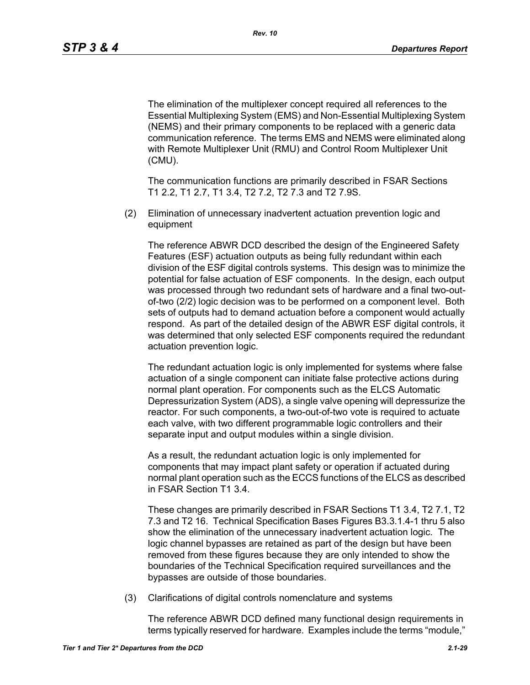The elimination of the multiplexer concept required all references to the Essential Multiplexing System (EMS) and Non-Essential Multiplexing System (NEMS) and their primary components to be replaced with a generic data communication reference. The terms EMS and NEMS were eliminated along with Remote Multiplexer Unit (RMU) and Control Room Multiplexer Unit (CMU).

The communication functions are primarily described in FSAR Sections T1 2.2, T1 2.7, T1 3.4, T2 7.2, T2 7.3 and T2 7.9S.

(2) Elimination of unnecessary inadvertent actuation prevention logic and equipment

The reference ABWR DCD described the design of the Engineered Safety Features (ESF) actuation outputs as being fully redundant within each division of the ESF digital controls systems. This design was to minimize the potential for false actuation of ESF components. In the design, each output was processed through two redundant sets of hardware and a final two-outof-two (2/2) logic decision was to be performed on a component level. Both sets of outputs had to demand actuation before a component would actually respond. As part of the detailed design of the ABWR ESF digital controls, it was determined that only selected ESF components required the redundant actuation prevention logic.

The redundant actuation logic is only implemented for systems where false actuation of a single component can initiate false protective actions during normal plant operation. For components such as the ELCS Automatic Depressurization System (ADS), a single valve opening will depressurize the reactor. For such components, a two-out-of-two vote is required to actuate each valve, with two different programmable logic controllers and their separate input and output modules within a single division.

As a result, the redundant actuation logic is only implemented for components that may impact plant safety or operation if actuated during normal plant operation such as the ECCS functions of the ELCS as described in FSAR Section T1 3.4.

These changes are primarily described in FSAR Sections T1 3.4, T2 7.1, T2 7.3 and T2 16. Technical Specification Bases Figures B3.3.1.4-1 thru 5 also show the elimination of the unnecessary inadvertent actuation logic. The logic channel bypasses are retained as part of the design but have been removed from these figures because they are only intended to show the boundaries of the Technical Specification required surveillances and the bypasses are outside of those boundaries.

(3) Clarifications of digital controls nomenclature and systems

The reference ABWR DCD defined many functional design requirements in terms typically reserved for hardware. Examples include the terms "module,"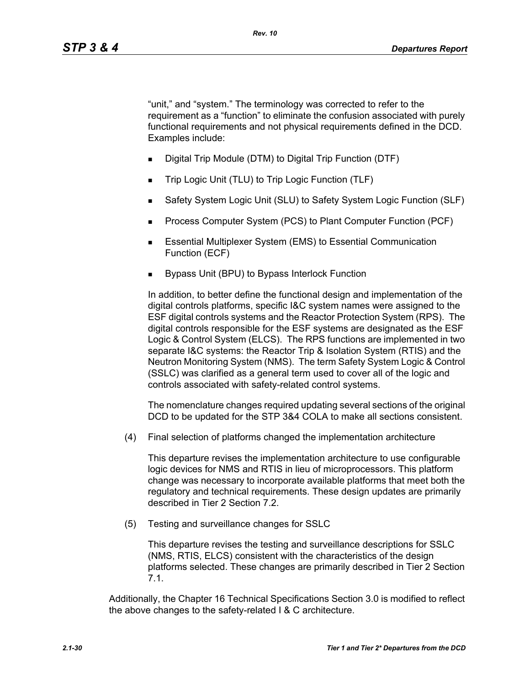"unit," and "system." The terminology was corrected to refer to the requirement as a "function" to eliminate the confusion associated with purely functional requirements and not physical requirements defined in the DCD. Examples include:

- Digital Trip Module (DTM) to Digital Trip Function (DTF)
- Trip Logic Unit (TLU) to Trip Logic Function (TLF)
- Safety System Logic Unit (SLU) to Safety System Logic Function (SLF)
- Process Computer System (PCS) to Plant Computer Function (PCF)
- **Essential Multiplexer System (EMS) to Essential Communication** Function (ECF)
- Bypass Unit (BPU) to Bypass Interlock Function

In addition, to better define the functional design and implementation of the digital controls platforms, specific I&C system names were assigned to the ESF digital controls systems and the Reactor Protection System (RPS). The digital controls responsible for the ESF systems are designated as the ESF Logic & Control System (ELCS). The RPS functions are implemented in two separate I&C systems: the Reactor Trip & Isolation System (RTIS) and the Neutron Monitoring System (NMS). The term Safety System Logic & Control (SSLC) was clarified as a general term used to cover all of the logic and controls associated with safety-related control systems.

The nomenclature changes required updating several sections of the original DCD to be updated for the STP 3&4 COLA to make all sections consistent.

(4) Final selection of platforms changed the implementation architecture

This departure revises the implementation architecture to use configurable logic devices for NMS and RTIS in lieu of microprocessors. This platform change was necessary to incorporate available platforms that meet both the regulatory and technical requirements. These design updates are primarily described in Tier 2 Section 7.2.

(5) Testing and surveillance changes for SSLC

This departure revises the testing and surveillance descriptions for SSLC (NMS, RTIS, ELCS) consistent with the characteristics of the design platforms selected. These changes are primarily described in Tier 2 Section 7.1.

Additionally, the Chapter 16 Technical Specifications Section 3.0 is modified to reflect the above changes to the safety-related I & C architecture.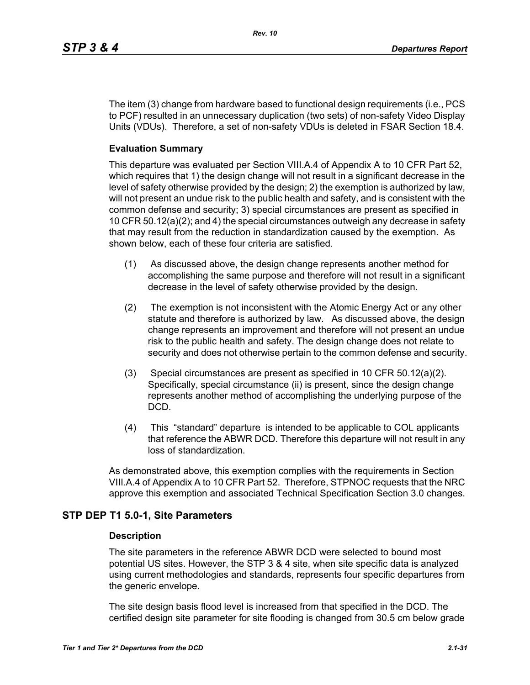The item (3) change from hardware based to functional design requirements (i.e., PCS to PCF) resulted in an unnecessary duplication (two sets) of non-safety Video Display Units (VDUs). Therefore, a set of non-safety VDUs is deleted in FSAR Section 18.4.

#### **Evaluation Summary**

This departure was evaluated per Section VIII.A.4 of Appendix A to 10 CFR Part 52, which requires that 1) the design change will not result in a significant decrease in the level of safety otherwise provided by the design; 2) the exemption is authorized by law, will not present an undue risk to the public health and safety, and is consistent with the common defense and security; 3) special circumstances are present as specified in 10 CFR 50.12(a)(2); and 4) the special circumstances outweigh any decrease in safety that may result from the reduction in standardization caused by the exemption. As shown below, each of these four criteria are satisfied.

- (1) As discussed above, the design change represents another method for accomplishing the same purpose and therefore will not result in a significant decrease in the level of safety otherwise provided by the design.
- (2) The exemption is not inconsistent with the Atomic Energy Act or any other statute and therefore is authorized by law. As discussed above, the design change represents an improvement and therefore will not present an undue risk to the public health and safety. The design change does not relate to security and does not otherwise pertain to the common defense and security.
- (3) Special circumstances are present as specified in 10 CFR 50.12(a)(2). Specifically, special circumstance (ii) is present, since the design change represents another method of accomplishing the underlying purpose of the DCD.
- (4) This "standard" departure is intended to be applicable to COL applicants that reference the ABWR DCD. Therefore this departure will not result in any loss of standardization.

As demonstrated above, this exemption complies with the requirements in Section VIII.A.4 of Appendix A to 10 CFR Part 52. Therefore, STPNOC requests that the NRC approve this exemption and associated Technical Specification Section 3.0 changes.

### **STP DEP T1 5.0-1, Site Parameters**

#### **Description**

The site parameters in the reference ABWR DCD were selected to bound most potential US sites. However, the STP 3 & 4 site, when site specific data is analyzed using current methodologies and standards, represents four specific departures from the generic envelope.

The site design basis flood level is increased from that specified in the DCD. The certified design site parameter for site flooding is changed from 30.5 cm below grade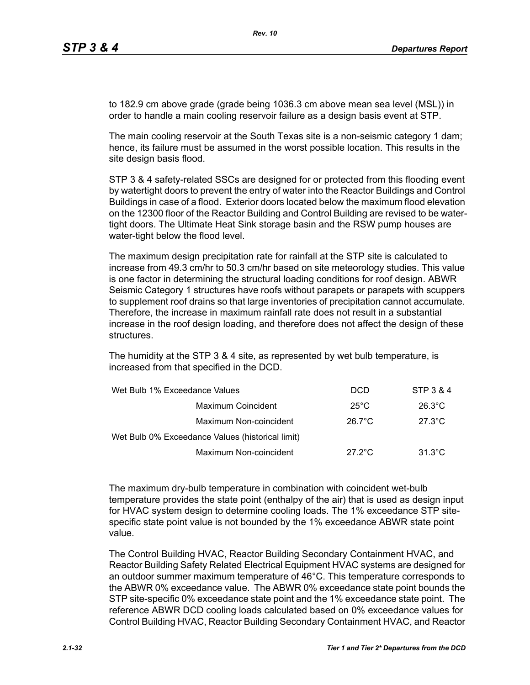to 182.9 cm above grade (grade being 1036.3 cm above mean sea level (MSL)) in order to handle a main cooling reservoir failure as a design basis event at STP.

The main cooling reservoir at the South Texas site is a non-seismic category 1 dam; hence, its failure must be assumed in the worst possible location. This results in the site design basis flood.

STP 3 & 4 safety-related SSCs are designed for or protected from this flooding event by watertight doors to prevent the entry of water into the Reactor Buildings and Control Buildings in case of a flood. Exterior doors located below the maximum flood elevation on the 12300 floor of the Reactor Building and Control Building are revised to be watertight doors. The Ultimate Heat Sink storage basin and the RSW pump houses are water-tight below the flood level.

The maximum design precipitation rate for rainfall at the STP site is calculated to increase from 49.3 cm/hr to 50.3 cm/hr based on site meteorology studies. This value is one factor in determining the structural loading conditions for roof design. ABWR Seismic Category 1 structures have roofs without parapets or parapets with scuppers to supplement roof drains so that large inventories of precipitation cannot accumulate. Therefore, the increase in maximum rainfall rate does not result in a substantial increase in the roof design loading, and therefore does not affect the design of these structures.

The humidity at the STP 3 & 4 site, as represented by wet bulb temperature, is increased from that specified in the DCD.

| Wet Bulb 1% Exceedance Values                    | <b>DCD</b>       | STP 3 & 4        |
|--------------------------------------------------|------------------|------------------|
| Maximum Coincident                               | $25^{\circ}$ C   | $26.3^{\circ}$ C |
| Maximum Non-coincident                           | $26.7^{\circ}$ C | $27.3^{\circ}$ C |
| Wet Bulb 0% Exceedance Values (historical limit) |                  |                  |
| Maximum Non-coincident                           | $27.2^{\circ}$ C | $31.3^{\circ}$ C |

The maximum dry-bulb temperature in combination with coincident wet-bulb temperature provides the state point (enthalpy of the air) that is used as design input for HVAC system design to determine cooling loads. The 1% exceedance STP sitespecific state point value is not bounded by the 1% exceedance ABWR state point value.

The Control Building HVAC, Reactor Building Secondary Containment HVAC, and Reactor Building Safety Related Electrical Equipment HVAC systems are designed for an outdoor summer maximum temperature of 46°C. This temperature corresponds to the ABWR 0% exceedance value. The ABWR 0% exceedance state point bounds the STP site-specific 0% exceedance state point and the 1% exceedance state point. The reference ABWR DCD cooling loads calculated based on 0% exceedance values for Control Building HVAC, Reactor Building Secondary Containment HVAC, and Reactor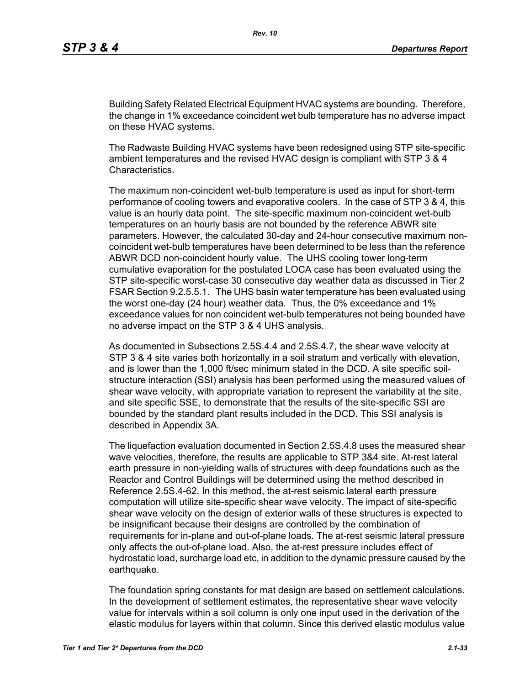Building Safety Related Electrical Equipment HVAC systems are bounding. Therefore, the change in 1% exceedance coincident wet bulb temperature has no adverse impact on these HVAC systems.

The Radwaste Building HVAC systems have been redesigned using STP site-specific ambient temperatures and the revised HVAC design is compliant with STP 3 & 4 Characteristics.

The maximum non-coincident wet-bulb temperature is used as input for short-term performance of cooling towers and evaporative coolers. In the case of STP 3 & 4, this value is an hourly data point. The site-specific maximum non-coincident wet-bulb temperatures on an hourly basis are not bounded by the reference ABWR site parameters. However, the calculated 30-day and 24-hour consecutive maximum noncoincident wet-bulb temperatures have been determined to be less than the reference ABWR DCD non-coincident hourly value. The UHS cooling tower long-term cumulative evaporation for the postulated LOCA case has been evaluated using the STP site-specific worst-case 30 consecutive day weather data as discussed in Tier 2 FSAR Section 9.2.5.5.1. The UHS basin water temperature has been evaluated using the worst one-day (24 hour) weather data. Thus, the 0% exceedance and 1% exceedance values for non coincident wet-bulb temperatures not being bounded have no adverse impact on the STP 3 & 4 UHS analysis.

As documented in Subsections 2.5S.4.4 and 2.5S.4.7, the shear wave velocity at STP 3 & 4 site varies both horizontally in a soil stratum and vertically with elevation, and is lower than the 1,000 ft/sec minimum stated in the DCD. A site specific soilstructure interaction (SSI) analysis has been performed using the measured values of shear wave velocity, with appropriate variation to represent the variability at the site, and site specific SSE, to demonstrate that the results of the site-specific SSI are bounded by the standard plant results included in the DCD. This SSI analysis is described in Appendix 3A.

The liquefaction evaluation documented in Section 2.5S.4.8 uses the measured shear wave velocities, therefore, the results are applicable to STP 3&4 site. At-rest lateral earth pressure in non-yielding walls of structures with deep foundations such as the Reactor and Control Buildings will be determined using the method described in Reference 2.5S.4-62. In this method, the at-rest seismic lateral earth pressure computation will utilize site-specific shear wave velocity. The impact of site-specific shear wave velocity on the design of exterior walls of these structures is expected to be insignificant because their designs are controlled by the combination of requirements for in-plane and out-of-plane loads. The at-rest seismic lateral pressure only affects the out-of-plane load. Also, the at-rest pressure includes effect of hydrostatic load, surcharge load etc, in addition to the dynamic pressure caused by the earthquake.

The foundation spring constants for mat design are based on settlement calculations. In the development of settlement estimates, the representative shear wave velocity value for intervals within a soil column is only one input used in the derivation of the elastic modulus for layers within that column. Since this derived elastic modulus value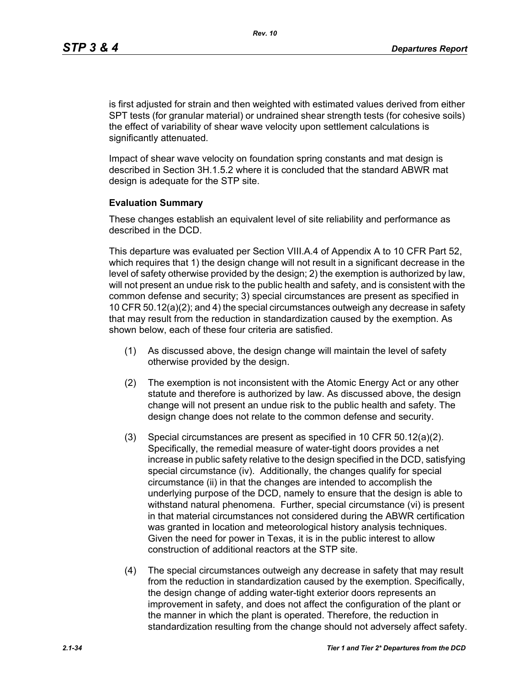is first adjusted for strain and then weighted with estimated values derived from either SPT tests (for granular material) or undrained shear strength tests (for cohesive soils) the effect of variability of shear wave velocity upon settlement calculations is significantly attenuated.

Impact of shear wave velocity on foundation spring constants and mat design is described in Section 3H.1.5.2 where it is concluded that the standard ABWR mat design is adequate for the STP site.

#### **Evaluation Summary**

These changes establish an equivalent level of site reliability and performance as described in the DCD.

This departure was evaluated per Section VIII.A.4 of Appendix A to 10 CFR Part 52, which requires that 1) the design change will not result in a significant decrease in the level of safety otherwise provided by the design; 2) the exemption is authorized by law, will not present an undue risk to the public health and safety, and is consistent with the common defense and security; 3) special circumstances are present as specified in 10 CFR 50.12(a)(2); and 4) the special circumstances outweigh any decrease in safety that may result from the reduction in standardization caused by the exemption. As shown below, each of these four criteria are satisfied.

- (1) As discussed above, the design change will maintain the level of safety otherwise provided by the design.
- (2) The exemption is not inconsistent with the Atomic Energy Act or any other statute and therefore is authorized by law. As discussed above, the design change will not present an undue risk to the public health and safety. The design change does not relate to the common defense and security.
- (3) Special circumstances are present as specified in 10 CFR 50.12(a)(2). Specifically, the remedial measure of water-tight doors provides a net increase in public safety relative to the design specified in the DCD, satisfying special circumstance (iv). Additionally, the changes qualify for special circumstance (ii) in that the changes are intended to accomplish the underlying purpose of the DCD, namely to ensure that the design is able to withstand natural phenomena. Further, special circumstance (vi) is present in that material circumstances not considered during the ABWR certification was granted in location and meteorological history analysis techniques. Given the need for power in Texas, it is in the public interest to allow construction of additional reactors at the STP site.
- (4) The special circumstances outweigh any decrease in safety that may result from the reduction in standardization caused by the exemption. Specifically, the design change of adding water-tight exterior doors represents an improvement in safety, and does not affect the configuration of the plant or the manner in which the plant is operated. Therefore, the reduction in standardization resulting from the change should not adversely affect safety.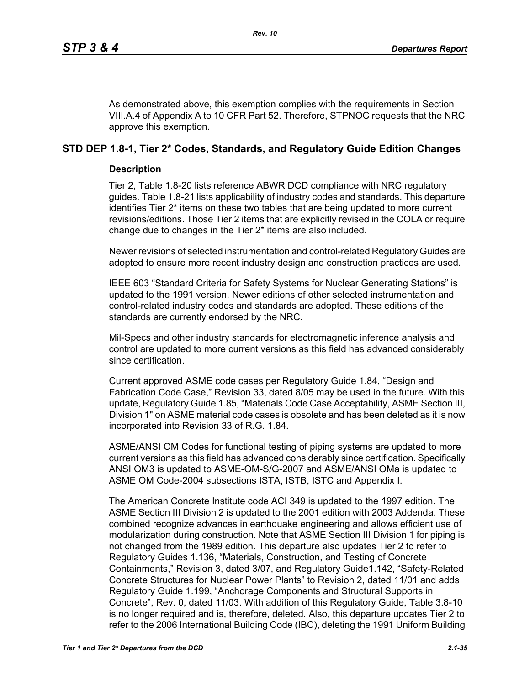As demonstrated above, this exemption complies with the requirements in Section VIII.A.4 of Appendix A to 10 CFR Part 52. Therefore, STPNOC requests that the NRC approve this exemption.

## **STD DEP 1.8-1, Tier 2\* Codes, Standards, and Regulatory Guide Edition Changes**

## **Description**

Tier 2, Table 1.8-20 lists reference ABWR DCD compliance with NRC regulatory guides. Table 1.8-21 lists applicability of industry codes and standards. This departure identifies Tier 2\* items on these two tables that are being updated to more current revisions/editions. Those Tier 2 items that are explicitly revised in the COLA or require change due to changes in the Tier 2\* items are also included.

Newer revisions of selected instrumentation and control-related Regulatory Guides are adopted to ensure more recent industry design and construction practices are used.

IEEE 603 "Standard Criteria for Safety Systems for Nuclear Generating Stations" is updated to the 1991 version. Newer editions of other selected instrumentation and control-related industry codes and standards are adopted. These editions of the standards are currently endorsed by the NRC.

Mil-Specs and other industry standards for electromagnetic inference analysis and control are updated to more current versions as this field has advanced considerably since certification.

Current approved ASME code cases per Regulatory Guide 1.84, "Design and Fabrication Code Case," Revision 33, dated 8/05 may be used in the future. With this update, Regulatory Guide 1.85, "Materials Code Case Acceptability, ASME Section III, Division 1" on ASME material code cases is obsolete and has been deleted as it is now incorporated into Revision 33 of R.G. 1.84.

ASME/ANSI OM Codes for functional testing of piping systems are updated to more current versions as this field has advanced considerably since certification. Specifically ANSI OM3 is updated to ASME-OM-S/G-2007 and ASME/ANSI OMa is updated to ASME OM Code-2004 subsections ISTA, ISTB, ISTC and Appendix I.

The American Concrete Institute code ACI 349 is updated to the 1997 edition. The ASME Section III Division 2 is updated to the 2001 edition with 2003 Addenda. These combined recognize advances in earthquake engineering and allows efficient use of modularization during construction. Note that ASME Section III Division 1 for piping is not changed from the 1989 edition. This departure also updates Tier 2 to refer to Regulatory Guides 1.136, "Materials, Construction, and Testing of Concrete Containments," Revision 3, dated 3/07, and Regulatory Guide1.142, "Safety-Related Concrete Structures for Nuclear Power Plants" to Revision 2, dated 11/01 and adds Regulatory Guide 1.199, "Anchorage Components and Structural Supports in Concrete", Rev. 0, dated 11/03. With addition of this Regulatory Guide, Table 3.8-10 is no longer required and is, therefore, deleted. Also, this departure updates Tier 2 to refer to the 2006 International Building Code (IBC), deleting the 1991 Uniform Building